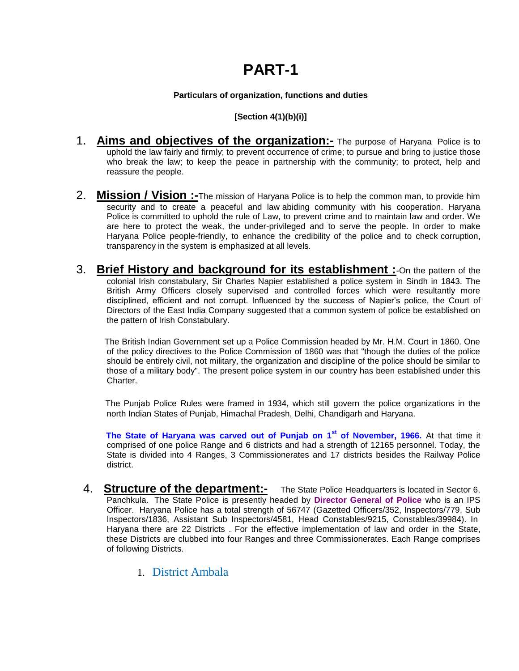#### **Particulars of organization, functions and duties**

#### **[Section 4(1)(b)(i)]**

- 1. **Aims and objectives of the organization:-** The purpose of Haryana Police is to uphold the law fairly and firmly; to prevent occurrence of crime; to pursue and bring to justice those who break the law; to keep the peace in partnership with the community; to protect, help and reassure the people.
- 2. **Mission / Vision :-**The mission of Haryana Police is to help the common man, to provide him security and to create a peaceful and law abiding community with his cooperation. Haryana Police is committed to uphold the rule of Law, to prevent crime and to maintain law and order. We are here to protect the weak, the under-privileged and to serve the people. In order to make Haryana Police people-friendly, to enhance the credibility of the police and to check corruption, transparency in the system is emphasized at all levels.
- 3. **Brief History and background for its establishment :**-On the pattern of the colonial Irish constabulary, Sir Charles Napier established a police system in Sindh in 1843. The British Army Officers closely supervised and controlled forces which were resultantly more disciplined, efficient and not corrupt. Influenced by the success of Napier's police, the Court of Directors of the East India Company suggested that a common system of police be established on the pattern of Irish Constabulary.

 The British Indian Government set up a Police Commission headed by Mr. H.M. Court in 1860. One of the policy directives to the Police Commission of 1860 was that "though the duties of the police should be entirely civil, not military, the organization and discipline of the police should be similar to those of a military body". The present police system in our country has been established under this Charter.

 The Punjab Police Rules were framed in 1934, which still govern the police organizations in the north Indian States of Punjab, Himachal Pradesh, Delhi, Chandigarh and Haryana.

 **The State of Haryana was carved out of Punjab on 1st of November, 1966.** At that time it comprised of one police Range and 6 districts and had a strength of 12165 personnel. Today, the State is divided into 4 Ranges, 3 Commissionerates and 17 districts besides the Railway Police district.

- 4. **Structure of the department:-** The State Police Headquarters is located in Sector 6, Panchkula. The State Police is presently headed by **Director General of Police** who is an IPS Officer. Haryana Police has a total strength of 56747 (Gazetted Officers/352, Inspectors/779, Sub Inspectors/1836, Assistant Sub Inspectors/4581, Head Constables/9215, Constables/39984). In Haryana there are 22 Districts . For the effective implementation of law and order in the State, these Districts are clubbed into four Ranges and three Commissionerates. Each Range comprises of following Districts.
	- 1. District Ambala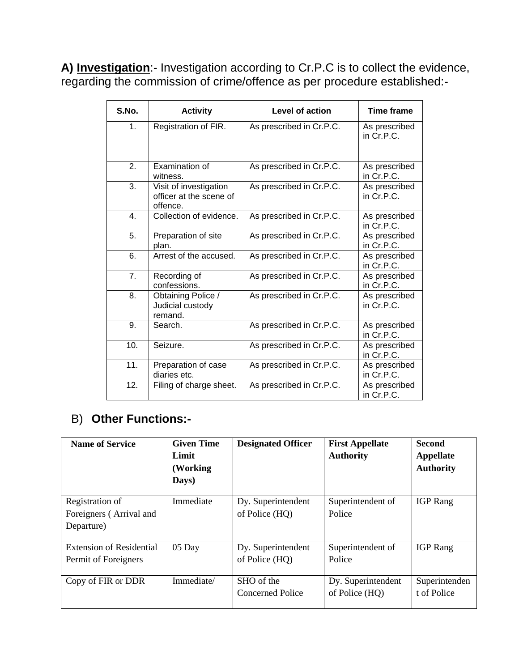**A) Investigation**:- Investigation according to Cr.P.C is to collect the evidence, regarding the commission of crime/offence as per procedure established:-

| S.No. | <b>Activity</b>                                               | <b>Level of action</b>   | <b>Time frame</b>             |
|-------|---------------------------------------------------------------|--------------------------|-------------------------------|
| 1.    | Registration of FIR.                                          | As prescribed in Cr.P.C. | As prescribed<br>in Cr.P.C.   |
| 2.    | <b>Examination of</b><br>witness.                             | As prescribed in Cr.P.C. | As prescribed<br>in Cr.P.C.   |
| 3.    | Visit of investigation<br>officer at the scene of<br>offence. | As prescribed in Cr.P.C. | As prescribed<br>in Cr.P.C.   |
| 4.    | Collection of evidence.                                       | As prescribed in Cr.P.C. | As prescribed<br>in Cr.P.C.   |
| 5.    | Preparation of site<br>plan.                                  | As prescribed in Cr.P.C. | As prescribed<br>in Cr.P.C.   |
| 6.    | Arrest of the accused.                                        | As prescribed in Cr.P.C. | As prescribed<br>in Cr.P.C.   |
| 7.    | Recording of<br>confessions.                                  | As prescribed in Cr.P.C. | As prescribed<br>in Cr.P.C.   |
| 8.    | Obtaining Police /<br>Judicial custody<br>remand.             | As prescribed in Cr.P.C. | As prescribed<br>in $Cr.P.C.$ |
| 9.    | Search.                                                       | As prescribed in Cr.P.C. | As prescribed<br>in Cr.P.C.   |
| 10.   | Seizure.                                                      | As prescribed in Cr.P.C. | As prescribed<br>in Cr.P.C.   |
| 11.   | Preparation of case<br>diaries etc.                           | As prescribed in Cr.P.C. | As prescribed<br>in Cr.P.C.   |
| 12.   | Filing of charge sheet.                                       | As prescribed in Cr.P.C. | As prescribed<br>in Cr.P.C.   |

### B) **Other Functions:-**

| <b>Name of Service</b>                                   | <b>Given Time</b><br>Limit<br>(Working)<br>Days) | <b>Designated Officer</b>             | <b>First Appellate</b><br><b>Authority</b> | <b>Second</b><br><b>Appellate</b><br><b>Authority</b> |
|----------------------------------------------------------|--------------------------------------------------|---------------------------------------|--------------------------------------------|-------------------------------------------------------|
| Registration of<br>Foreigners (Arrival and<br>Departure) | Immediate                                        | Dy. Superintendent<br>of Police (HQ)  | Superintendent of<br>Police                | <b>IGP</b> Rang                                       |
| <b>Extension of Residential</b><br>Permit of Foreigners  | 05 Day                                           | Dy. Superintendent<br>of Police (HQ)  | Superintendent of<br>Police                | <b>IGP</b> Rang                                       |
| Copy of FIR or DDR                                       | Immediate/                                       | SHO of the<br><b>Concerned Police</b> | Dy. Superintendent<br>of Police (HQ)       | Superintenden<br>t of Police                          |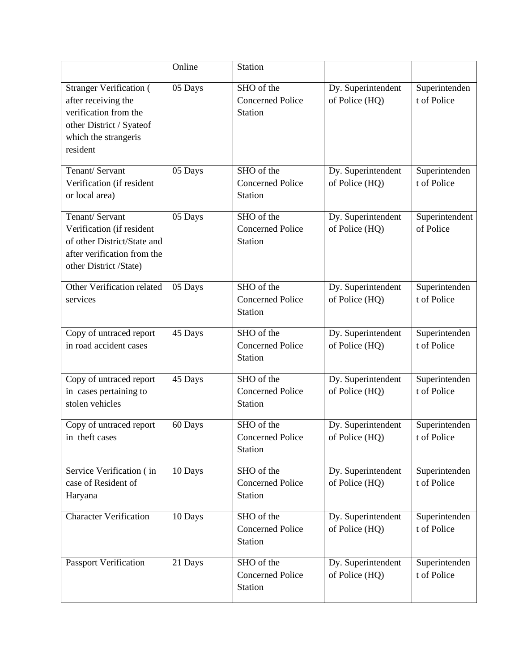|                                                                                                                                                | Online  | <b>Station</b>                                          |                                      |                              |
|------------------------------------------------------------------------------------------------------------------------------------------------|---------|---------------------------------------------------------|--------------------------------------|------------------------------|
| <b>Stranger Verification (</b><br>after receiving the<br>verification from the<br>other District / Syateof<br>which the strangeris<br>resident | 05 Days | SHO of the<br><b>Concerned Police</b><br><b>Station</b> | Dy. Superintendent<br>of Police (HQ) | Superintenden<br>t of Police |
| Tenant/ Servant<br>Verification (if resident<br>or local area)                                                                                 | 05 Days | SHO of the<br><b>Concerned Police</b><br>Station        | Dy. Superintendent<br>of Police (HQ) | Superintenden<br>t of Police |
| Tenant/ Servant<br>Verification (if resident<br>of other District/State and<br>after verification from the<br>other District /State)           | 05 Days | SHO of the<br><b>Concerned Police</b><br>Station        | Dy. Superintendent<br>of Police (HQ) | Superintendent<br>of Police  |
| Other Verification related<br>services                                                                                                         | 05 Days | SHO of the<br><b>Concerned Police</b><br>Station        | Dy. Superintendent<br>of Police (HQ) | Superintenden<br>t of Police |
| Copy of untraced report<br>in road accident cases                                                                                              | 45 Days | SHO of the<br><b>Concerned Police</b><br>Station        | Dy. Superintendent<br>of Police (HQ) | Superintenden<br>t of Police |
| Copy of untraced report<br>in cases pertaining to<br>stolen vehicles                                                                           | 45 Days | SHO of the<br><b>Concerned Police</b><br>Station        | Dy. Superintendent<br>of Police (HQ) | Superintenden<br>t of Police |
| Copy of untraced report<br>in theft cases                                                                                                      | 60 Days | SHO of the<br><b>Concerned Police</b><br>Station        | Dy. Superintendent<br>of Police (HQ) | Superintenden<br>t of Police |
| Service Verification (in<br>case of Resident of<br>Haryana                                                                                     | 10 Days | SHO of the<br><b>Concerned Police</b><br><b>Station</b> | Dy. Superintendent<br>of Police (HQ) | Superintenden<br>t of Police |
| <b>Character Verification</b>                                                                                                                  | 10 Days | SHO of the<br><b>Concerned Police</b><br><b>Station</b> | Dy. Superintendent<br>of Police (HQ) | Superintenden<br>t of Police |
| <b>Passport Verification</b>                                                                                                                   | 21 Days | SHO of the<br><b>Concerned Police</b><br>Station        | Dy. Superintendent<br>of Police (HQ) | Superintenden<br>t of Police |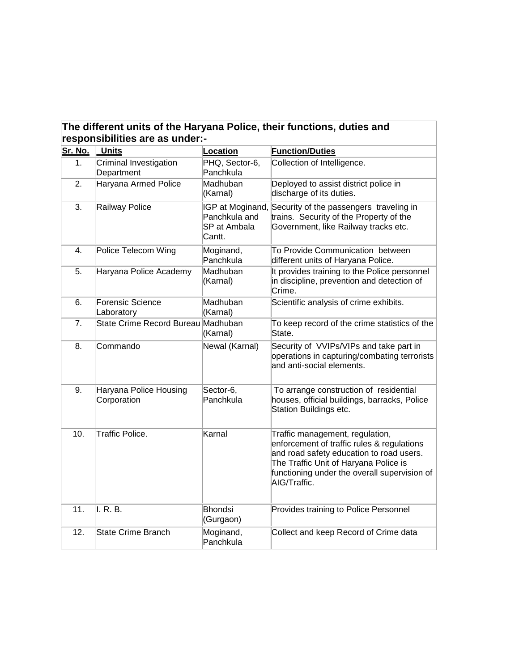| The different units of the Haryana Police, their functions, duties and |
|------------------------------------------------------------------------|
| responsibilities are as under:-                                        |

| <b>Sr. No.</b> | <b>Units</b>                          | Location                                                    | <b>Function/Duties</b>                                                                                                                                                                                                             |
|----------------|---------------------------------------|-------------------------------------------------------------|------------------------------------------------------------------------------------------------------------------------------------------------------------------------------------------------------------------------------------|
| 1.             | Criminal Investigation<br>Department  | PHQ, Sector-6,<br>Panchkula                                 | Collection of Intelligence.                                                                                                                                                                                                        |
| 2.             | Haryana Armed Police                  | Madhuban<br>(Karnal)                                        | Deployed to assist district police in<br>discharge of its duties.                                                                                                                                                                  |
| 3.             | Railway Police                        | IGP at Moginand,<br>Panchkula and<br>SP at Ambala<br>Cantt. | Security of the passengers traveling in<br>trains. Security of the Property of the<br>Government, like Railway tracks etc.                                                                                                         |
| 4.             | Police Telecom Wing                   | Moginand,<br>Panchkula                                      | To Provide Communication between<br>different units of Haryana Police.                                                                                                                                                             |
| 5.             | Haryana Police Academy                | Madhuban<br>(Karnal)                                        | It provides training to the Police personnel<br>in discipline, prevention and detection of<br>Crime.                                                                                                                               |
| 6.             | <b>Forensic Science</b><br>Laboratory | Madhuban<br>(Karnal)                                        | Scientific analysis of crime exhibits.                                                                                                                                                                                             |
| 7.             | State Crime Record Bureau Madhuban    | (Karnal)                                                    | To keep record of the crime statistics of the<br>State.                                                                                                                                                                            |
| 8.             | Commando                              | Newal (Karnal)                                              | Security of VVIPs/VIPs and take part in<br>operations in capturing/combating terrorists<br>and anti-social elements.                                                                                                               |
| 9.             | Haryana Police Housing<br>Corporation | Sector-6,<br>Panchkula                                      | To arrange construction of residential<br>houses, official buildings, barracks, Police<br>Station Buildings etc.                                                                                                                   |
| 10.            | Traffic Police.                       | Karnal                                                      | Traffic management, regulation,<br>enforcement of traffic rules & regulations<br>and road safety education to road users.<br>The Traffic Unit of Haryana Police is<br>functioning under the overall supervision of<br>AIG/Traffic. |
| 11.            | II. R. B.                             | <b>Bhondsi</b><br>(Gurgaon)                                 | Provides training to Police Personnel                                                                                                                                                                                              |
| 12.            | <b>State Crime Branch</b>             | Moginand,<br>Panchkula                                      | Collect and keep Record of Crime data                                                                                                                                                                                              |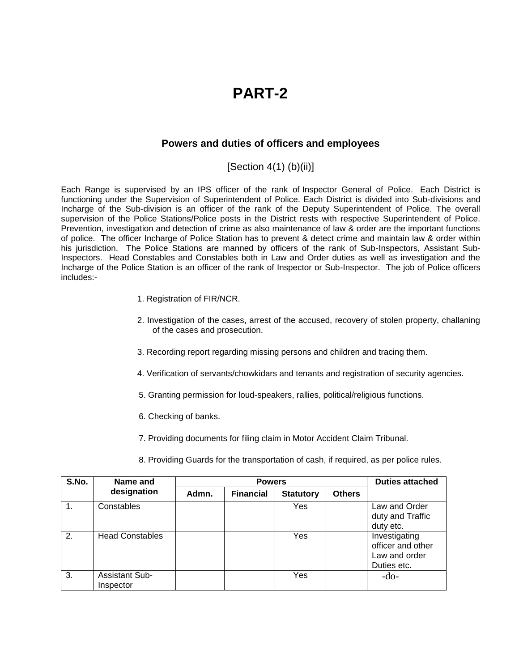#### **Powers and duties of officers and employees**

 $[Section 4(1) (b)(ii)]$ 

Each Range is supervised by an IPS officer of the rank of Inspector General of Police. Each District is functioning under the Supervision of Superintendent of Police. Each District is divided into Sub-divisions and Incharge of the Sub-division is an officer of the rank of the Deputy Superintendent of Police. The overall supervision of the Police Stations/Police posts in the District rests with respective Superintendent of Police. Prevention, investigation and detection of crime as also maintenance of law & order are the important functions of police. The officer Incharge of Police Station has to prevent & detect crime and maintain law & order within his jurisdiction. The Police Stations are manned by officers of the rank of Sub-Inspectors, Assistant Sub-Inspectors. Head Constables and Constables both in Law and Order duties as well as investigation and the Incharge of the Police Station is an officer of the rank of Inspector or Sub-Inspector. The job of Police officers includes:-

- 1. Registration of FIR/NCR.
- 2. Investigation of the cases, arrest of the accused, recovery of stolen property, challaning of the cases and prosecution.
- 3. Recording report regarding missing persons and children and tracing them.
- 4. Verification of servants/chowkidars and tenants and registration of security agencies.
- 5. Granting permission for loud-speakers, rallies, political/religious functions.
- 6. Checking of banks.
- 7. Providing documents for filing claim in Motor Accident Claim Tribunal.
- 8. Providing Guards for the transportation of cash, if required, as per police rules.

| S.No. | Name and                           |       | <b>Powers</b>    | <b>Duties attached</b> |               |                                                                    |
|-------|------------------------------------|-------|------------------|------------------------|---------------|--------------------------------------------------------------------|
|       | designation                        | Admn. | <b>Financial</b> | <b>Statutory</b>       | <b>Others</b> |                                                                    |
|       | Constables                         |       |                  | Yes                    |               | Law and Order<br>duty and Traffic<br>duty etc.                     |
| 2.    | <b>Head Constables</b>             |       |                  | Yes                    |               | Investigating<br>officer and other<br>Law and order<br>Duties etc. |
| 3.    | <b>Assistant Sub-</b><br>Inspector |       |                  | Yes                    |               | $-do-$                                                             |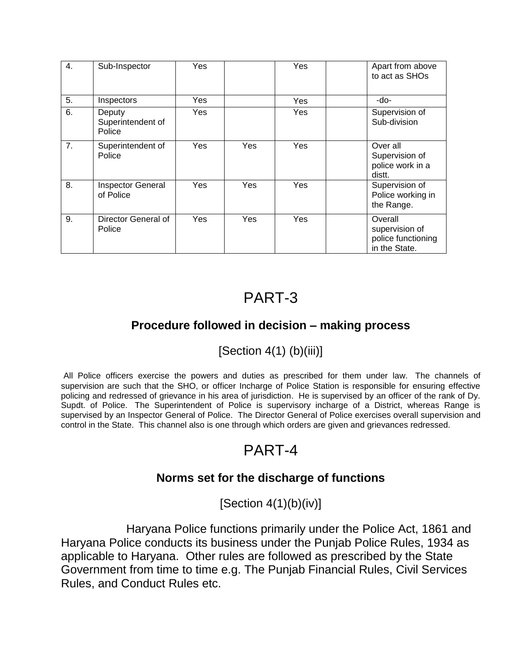| 4. | Sub-Inspector                         | Yes |     | Yes | Apart from above<br>to act as SHOs                               |
|----|---------------------------------------|-----|-----|-----|------------------------------------------------------------------|
| 5. | Inspectors                            | Yes |     | Yes | -do-                                                             |
| 6. | Deputy<br>Superintendent of<br>Police | Yes |     | Yes | Supervision of<br>Sub-division                                   |
| 7. | Superintendent of<br>Police           | Yes | Yes | Yes | Over all<br>Supervision of<br>police work in a<br>distt.         |
| 8. | <b>Inspector General</b><br>of Police | Yes | Yes | Yes | Supervision of<br>Police working in<br>the Range.                |
| 9. | Director General of<br>Police         | Yes | Yes | Yes | Overall<br>supervision of<br>police functioning<br>in the State. |

### **Procedure followed in decision – making process**

### $[Section 4(1) (b)(iii)]$

All Police officers exercise the powers and duties as prescribed for them under law. The channels of supervision are such that the SHO, or officer Incharge of Police Station is responsible for ensuring effective policing and redressed of grievance in his area of jurisdiction. He is supervised by an officer of the rank of Dy. Supdt. of Police. The Superintendent of Police is supervisory incharge of a District, whereas Range is supervised by an Inspector General of Police. The Director General of Police exercises overall supervision and control in the State. This channel also is one through which orders are given and grievances redressed.

# PART-4

### **Norms set for the discharge of functions**

 $[Section 4(1)(b)(iv)]$ 

 Haryana Police functions primarily under the Police Act, 1861 and Haryana Police conducts its business under the Punjab Police Rules, 1934 as applicable to Haryana. Other rules are followed as prescribed by the State Government from time to time e.g. The Punjab Financial Rules, Civil Services Rules, and Conduct Rules etc.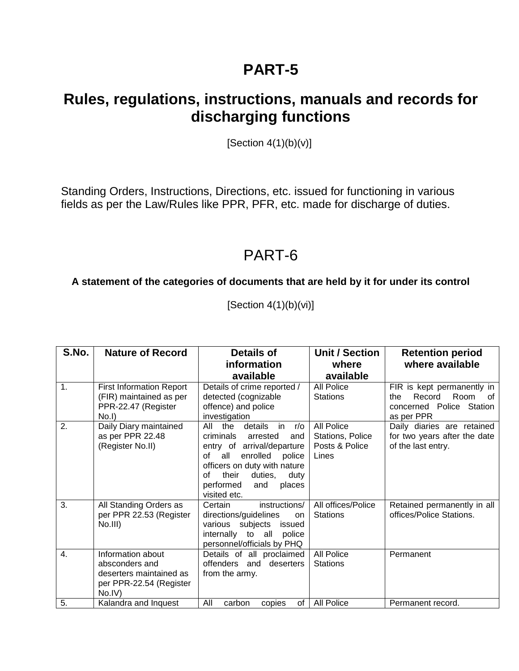## **Rules, regulations, instructions, manuals and records for discharging functions**

[Section  $4(1)(b)(v)$ ]

Standing Orders, Instructions, Directions, etc. issued for functioning in various fields as per the Law/Rules like PPR, PFR, etc. made for discharge of duties.

## PART-6

### **A statement of the categories of documents that are held by it for under its control**

[Section 4(1)(b)(vi)]

| S.No.            | <b>Nature of Record</b>                                                                             | <b>Details of</b>                                                                                                                                                                                                                                   | <b>Unit / Section</b>                                     | <b>Retention period</b>                                                                              |
|------------------|-----------------------------------------------------------------------------------------------------|-----------------------------------------------------------------------------------------------------------------------------------------------------------------------------------------------------------------------------------------------------|-----------------------------------------------------------|------------------------------------------------------------------------------------------------------|
|                  |                                                                                                     | information                                                                                                                                                                                                                                         | where                                                     | where available                                                                                      |
|                  |                                                                                                     | available                                                                                                                                                                                                                                           | available                                                 |                                                                                                      |
| 1.               | <b>First Information Report</b><br>(FIR) maintained as per<br>PPR-22.47 (Register<br>No.I           | Details of crime reported /<br>detected (cognizable<br>offence) and police<br>investigation                                                                                                                                                         | All Police<br><b>Stations</b>                             | FIR is kept permanently in<br>Room<br>Record<br>the.<br>οf<br>concerned Police Station<br>as per PPR |
| 2.               | Daily Diary maintained<br>as per PPR 22.48<br>(Register No.II)                                      | All<br>the<br>details<br>in<br>r/o<br>criminals<br>arrested<br>and<br>entry of arrival/departure<br>оf<br>enrolled<br>all<br>police<br>officers on duty with nature<br>their<br>Ωf<br>duties,<br>duty<br>performed<br>places<br>and<br>visited etc. | All Police<br>Stations, Police<br>Posts & Police<br>Lines | Daily diaries are retained<br>for two years after the date<br>of the last entry.                     |
| $\overline{3}$ . | All Standing Orders as<br>per PPR 22.53 (Register<br>No.III)                                        | instructions/<br>Certain<br>directions/guidelines<br>on<br>various subjects<br>issued<br>internally to all<br>police<br>personnel/officials by PHQ                                                                                                  | All offices/Police<br><b>Stations</b>                     | Retained permanently in all<br>offices/Police Stations.                                              |
| 4.               | Information about<br>absconders and<br>deserters maintained as<br>per PPR-22.54 (Register<br>No.IV) | Details of all proclaimed<br>offenders and deserters<br>from the army.                                                                                                                                                                              | All Police<br><b>Stations</b>                             | Permanent                                                                                            |
| 5.               | Kalandra and Inquest                                                                                | All<br>copies<br>οf<br>carbon                                                                                                                                                                                                                       | All Police                                                | Permanent record.                                                                                    |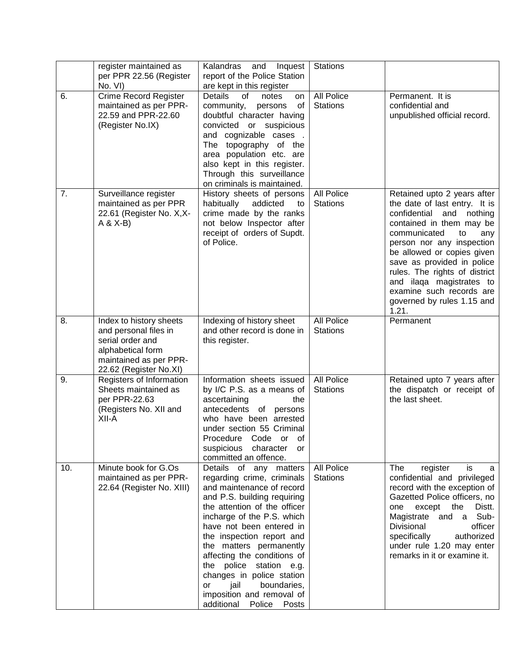|     | register maintained as<br>per PPR 22.56 (Register<br>No. VI)                                                                                  | Kalandras<br>and<br>Inquest<br>report of the Police Station<br>are kept in this register                                                                                                                                                                                                                                                                                                                                                                | <b>Stations</b>               |                                                                                                                                                                                                                                                                                                                                                                                  |
|-----|-----------------------------------------------------------------------------------------------------------------------------------------------|---------------------------------------------------------------------------------------------------------------------------------------------------------------------------------------------------------------------------------------------------------------------------------------------------------------------------------------------------------------------------------------------------------------------------------------------------------|-------------------------------|----------------------------------------------------------------------------------------------------------------------------------------------------------------------------------------------------------------------------------------------------------------------------------------------------------------------------------------------------------------------------------|
| 6.  | <b>Crime Record Register</b><br>maintained as per PPR-<br>22.59 and PPR-22.60<br>(Register No.IX)                                             | <b>Details</b><br>notes<br>0f<br>on<br>community,<br>0f<br>persons<br>doubtful character having<br>convicted or suspicious<br>and cognizable cases.<br>The topography of the<br>area population etc. are<br>also kept in this register.<br>Through this surveillance<br>on criminals is maintained.                                                                                                                                                     | All Police<br><b>Stations</b> | Permanent. It is<br>confidential and<br>unpublished official record.                                                                                                                                                                                                                                                                                                             |
| 7.  | Surveillance register<br>maintained as per PPR<br>22.61 (Register No. X,X-<br>$A & X-B$                                                       | History sheets of persons<br>habitually<br>addicted<br>to<br>crime made by the ranks<br>not below Inspector after<br>receipt of orders of Supdt.<br>of Police.                                                                                                                                                                                                                                                                                          | All Police<br><b>Stations</b> | Retained upto 2 years after<br>the date of last entry. It is<br>confidential<br>and<br>nothing<br>contained in them may be<br>communicated<br>any<br>to<br>person nor any inspection<br>be allowed or copies given<br>save as provided in police<br>rules. The rights of district<br>and ilaqa magistrates to<br>examine such records are<br>governed by rules 1.15 and<br>1.21. |
| 8.  | Index to history sheets<br>and personal files in<br>serial order and<br>alphabetical form<br>maintained as per PPR-<br>22.62 (Register No.XI) | Indexing of history sheet<br>and other record is done in<br>this register.                                                                                                                                                                                                                                                                                                                                                                              | All Police<br><b>Stations</b> | Permanent                                                                                                                                                                                                                                                                                                                                                                        |
| 9.  | Registers of Information<br>Sheets maintained as<br>per PPR-22.63<br>(Registers No. XII and<br>XII-A                                          | Information sheets issued<br>by I/C P.S. as a means of<br>ascertaining<br>the<br>antecedents of persons<br>who have been arrested<br>under section 55 Criminal<br>Procedure Code or of<br>suspicious character or<br>committed an offence.                                                                                                                                                                                                              | All Police<br><b>Stations</b> | Retained upto 7 years after<br>the dispatch or receipt of<br>the last sheet.                                                                                                                                                                                                                                                                                                     |
| 10. | Minute book for G.Os<br>maintained as per PPR-<br>22.64 (Register No. XIII)                                                                   | Details of any matters<br>regarding crime, criminals<br>and maintenance of record<br>and P.S. building requiring<br>the attention of the officer<br>incharge of the P.S. which<br>have not been entered in<br>the inspection report and<br>the matters permanently<br>affecting the conditions of<br>the police<br>station e.g.<br>changes in police station<br>boundaries,<br>jail<br>or<br>imposition and removal of<br>additional<br>Police<br>Posts | All Police<br><b>Stations</b> | The<br>register<br>is<br>a<br>confidential and privileged<br>record with the exception of<br>Gazetted Police officers, no<br>except<br>the<br>Distt.<br>one<br>Magistrate and a Sub-<br>Divisional<br>officer<br>specifically<br>authorized<br>under rule 1.20 may enter<br>remarks in it or examine it.                                                                         |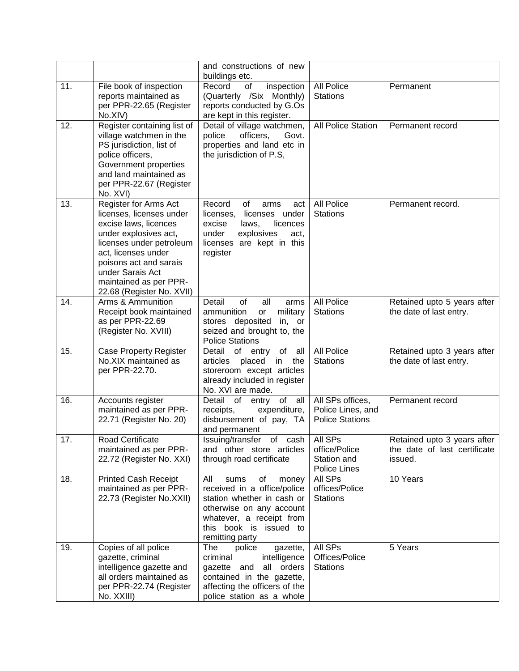|     |                                                                                                                                                                                                                                                             | and constructions of new<br>buildings etc.                                                                                                                                                   |                                                                 |                                                                        |
|-----|-------------------------------------------------------------------------------------------------------------------------------------------------------------------------------------------------------------------------------------------------------------|----------------------------------------------------------------------------------------------------------------------------------------------------------------------------------------------|-----------------------------------------------------------------|------------------------------------------------------------------------|
| 11. | File book of inspection<br>reports maintained as<br>per PPR-22.65 (Register<br>No.XIV)                                                                                                                                                                      | Record<br>inspection<br>of<br>(Quarterly /Six Monthly)<br>reports conducted by G.Os<br>are kept in this register.                                                                            | All Police<br><b>Stations</b>                                   | Permanent                                                              |
| 12. | Register containing list of<br>village watchmen in the<br>PS jurisdiction, list of<br>police officers,<br>Government properties<br>and land maintained as<br>per PPR-22.67 (Register<br>No. XVI)                                                            | Detail of village watchmen,<br>police<br>officers,<br>Govt.<br>properties and land etc in<br>the jurisdiction of P.S,                                                                        | All Police Station                                              | Permanent record                                                       |
| 13. | Register for Arms Act<br>licenses, licenses under<br>excise laws, licences<br>under explosives act,<br>licenses under petroleum<br>act, licenses under<br>poisons act and sarais<br>under Sarais Act<br>maintained as per PPR-<br>22.68 (Register No. XVII) | Record<br>of<br>arms<br>act<br>licenses,<br>licenses under<br>excise<br>laws,<br>licences<br>under<br>explosives<br>act,<br>licenses are kept in this<br>register                            | All Police<br><b>Stations</b>                                   | Permanent record.                                                      |
| 14. | Arms & Ammunition<br>Receipt book maintained<br>as per PPR-22.69<br>(Register No. XVIII)                                                                                                                                                                    | Detail<br>of<br>all<br>arms<br>military<br>ammunition<br>or<br>stores deposited<br>in, or<br>seized and brought to, the<br><b>Police Stations</b>                                            | All Police<br><b>Stations</b>                                   | Retained upto 5 years after<br>the date of last entry.                 |
| 15. | <b>Case Property Register</b><br>No.XIX maintained as<br>per PPR-22.70.                                                                                                                                                                                     | Detail of entry<br>of<br>all<br>articles<br>placed<br>in<br>the<br>storeroom except articles<br>already included in register<br>No. XVI are made.                                            | All Police<br><b>Stations</b>                                   | Retained upto 3 years after<br>the date of last entry.                 |
| 16. | Accounts register<br>maintained as per PPR-<br>22.71 (Register No. 20)                                                                                                                                                                                      | Detail of<br>entry of<br>all<br>receipts,<br>expenditure,<br>disbursement of pay, TA<br>and permanent                                                                                        | All SPs offices,<br>Police Lines, and<br><b>Police Stations</b> | Permanent record                                                       |
| 17. | Road Certificate<br>maintained as per PPR-<br>22.72 (Register No. XXI)                                                                                                                                                                                      | Issuing/transfer of cash<br>and other store articles<br>through road certificate                                                                                                             | All SPs<br>office/Police<br>Station and<br><b>Police Lines</b>  | Retained upto 3 years after<br>the date of last certificate<br>issued. |
| 18. | <b>Printed Cash Receipt</b><br>maintained as per PPR-<br>22.73 (Register No.XXII)                                                                                                                                                                           | All<br>of<br>money<br>sums<br>received in a office/police<br>station whether in cash or<br>otherwise on any account<br>whatever, a receipt from<br>this book is issued to<br>remitting party | All SPs<br>offices/Police<br><b>Stations</b>                    | 10 Years                                                               |
| 19. | Copies of all police<br>gazette, criminal<br>intelligence gazette and<br>all orders maintained as<br>per PPR-22.74 (Register<br>No. XXIII)                                                                                                                  | police<br>The<br>gazette,<br>criminal<br>intelligence<br>all orders<br>gazette and<br>contained in the gazette,<br>affecting the officers of the<br>police station as a whole                | All SPs<br>Offices/Police<br><b>Stations</b>                    | 5 Years                                                                |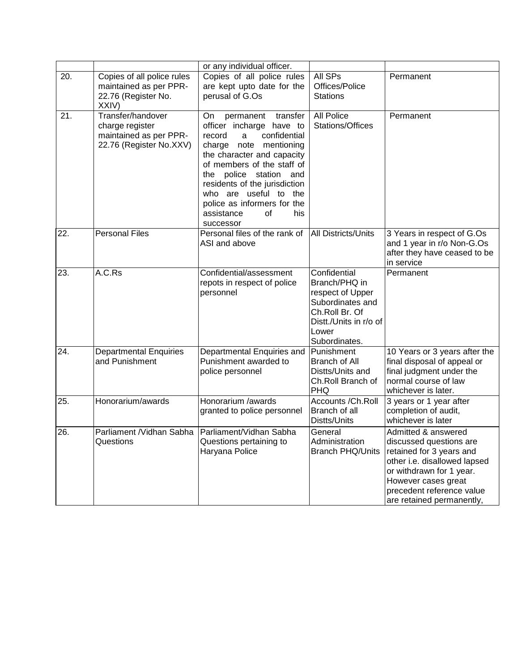|     |                                                    | or any individual officer.                           |                                    |                                                         |
|-----|----------------------------------------------------|------------------------------------------------------|------------------------------------|---------------------------------------------------------|
| 20. | Copies of all police rules                         | Copies of all police rules                           | All SPs                            | Permanent                                               |
|     | maintained as per PPR-                             | are kept upto date for the                           | Offices/Police                     |                                                         |
|     | 22.76 (Register No.                                | perusal of G.Os                                      | <b>Stations</b>                    |                                                         |
|     | XXIV)                                              |                                                      |                                    |                                                         |
| 21. | Transfer/handover                                  | On.<br>permanent transfer                            | All Police                         | Permanent                                               |
|     | charge register                                    | officer incharge have to                             | Stations/Offices                   |                                                         |
|     | maintained as per PPR-                             | confidential<br>record<br>a                          |                                    |                                                         |
|     | 22.76 (Register No.XXV)                            | charge note mentioning<br>the character and capacity |                                    |                                                         |
|     |                                                    | of members of the staff of                           |                                    |                                                         |
|     |                                                    | the police station and                               |                                    |                                                         |
|     |                                                    | residents of the jurisdiction                        |                                    |                                                         |
|     |                                                    | who are useful to the                                |                                    |                                                         |
|     |                                                    | police as informers for the                          |                                    |                                                         |
|     |                                                    | assistance<br>οf<br>his                              |                                    |                                                         |
|     |                                                    | successor                                            |                                    |                                                         |
| 22. | <b>Personal Files</b>                              | Personal files of the rank of                        | <b>All Districts/Units</b>         | 3 Years in respect of G.Os                              |
|     |                                                    | ASI and above                                        |                                    | and 1 year in r/o Non-G.Os                              |
|     |                                                    |                                                      |                                    | after they have ceased to be                            |
|     |                                                    |                                                      |                                    | in service                                              |
| 23. | A.C.Rs                                             | Confidential/assessment                              | Confidential                       | Permanent                                               |
|     |                                                    | repots in respect of police                          | Branch/PHQ in                      |                                                         |
|     |                                                    | personnel                                            | respect of Upper                   |                                                         |
|     |                                                    |                                                      | Subordinates and                   |                                                         |
|     |                                                    |                                                      | Ch.Roll Br. Of                     |                                                         |
|     |                                                    |                                                      | Distt./Units in r/o of             |                                                         |
|     |                                                    |                                                      | Lower                              |                                                         |
|     |                                                    |                                                      | Subordinates.                      |                                                         |
| 24. | <b>Departmental Enquiries</b><br>and Punishment    | Departmental Enquiries and<br>Punishment awarded to  | Punishment<br><b>Branch of All</b> | 10 Years or 3 years after the                           |
|     |                                                    | police personnel                                     | Distts/Units and                   | final disposal of appeal or<br>final judgment under the |
|     |                                                    |                                                      | Ch.Roll Branch of                  | normal course of law                                    |
|     |                                                    |                                                      | <b>PHQ</b>                         | whichever is later.                                     |
| 25. | Honorarium/awards                                  | Honorarium /awards                                   | Accounts / Ch. Roll                | 3 years or 1 year after                                 |
|     |                                                    | granted to police personnel                          | Branch of all                      | completion of audit,                                    |
|     |                                                    |                                                      | Distts/Units                       | whichever is later                                      |
| 26. | Parliament /Vidhan Sabha   Parliament/Vidhan Sabha |                                                      | General                            | Admitted & answered                                     |
|     | Questions                                          | Questions pertaining to                              | Administration                     | discussed questions are                                 |
|     |                                                    | Haryana Police                                       | <b>Branch PHQ/Units</b>            | retained for 3 years and                                |
|     |                                                    |                                                      |                                    | other i.e. disallowed lapsed                            |
|     |                                                    |                                                      |                                    | or withdrawn for 1 year.                                |
|     |                                                    |                                                      |                                    | However cases great                                     |
|     |                                                    |                                                      |                                    | precedent reference value                               |
|     |                                                    |                                                      |                                    | are retained permanently,                               |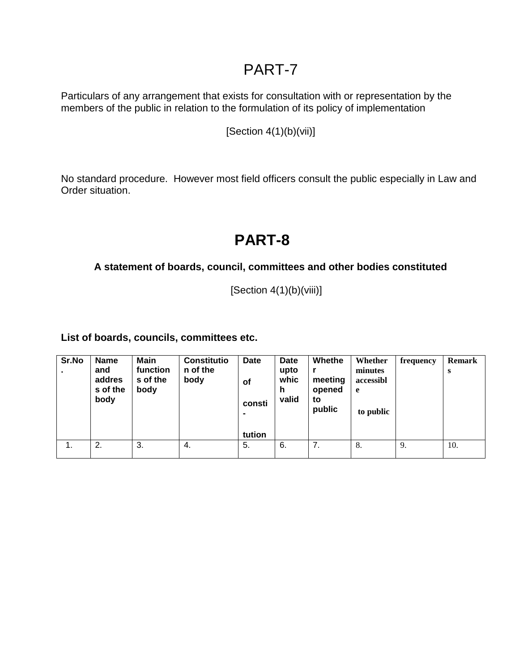Particulars of any arrangement that exists for consultation with or representation by the members of the public in relation to the formulation of its policy of implementation

 $[Section 4(1)(b)(vii)]$ 

No standard procedure. However most field officers consult the public especially in Law and Order situation.

# **PART-8**

### **A statement of boards, council, committees and other bodies constituted**

 $[Section 4(1)(b)(viii)]$ 

**List of boards, councils, committees etc.**

| Sr.No | <b>Name</b><br>and<br>addres<br>s of the<br>body | Main<br>function<br>s of the<br>body | <b>Constitutio</b><br>n of the<br>body | Date<br>οf<br>consti<br>tution | <b>Date</b><br>upto<br>whic<br>h<br>valid | Whethe<br>meeting<br>opened<br>to<br>public | Whether<br>minutes<br>accessibl<br>e.<br>to public | frequency | <b>Remark</b><br>S |
|-------|--------------------------------------------------|--------------------------------------|----------------------------------------|--------------------------------|-------------------------------------------|---------------------------------------------|----------------------------------------------------|-----------|--------------------|
| 1.    | 2.                                               | 3.                                   | 4.                                     | 5.                             | 6.                                        | 7.                                          | 8.                                                 | 9.        | 10.                |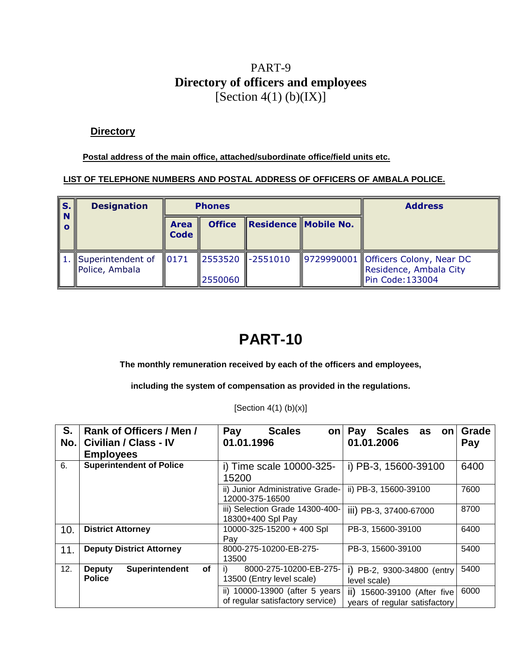### PART-9 **Directory of officers and employees** [Section  $4(1)$  (b)(IX)]

#### **Directory**

**Postal address of the main office, attached/subordinate office/field units etc.**

#### **LIST OF TELEPHONE NUMBERS AND POSTAL ADDRESS OF OFFICERS OF AMBALA POLICE.**

| IS.                  | <b>Designation</b>                  |                            | <b>Phones</b> |                      | <b>Address</b>                                                                   |
|----------------------|-------------------------------------|----------------------------|---------------|----------------------|----------------------------------------------------------------------------------|
| <b>N</b><br>$\Omega$ |                                     | <b>Area</b><br><b>Code</b> | <b>Office</b> | Residence Mobile No. |                                                                                  |
|                      | Superintendent of<br>Police, Ambala | 0171                       | 2550060       | 2553520 -2551010     | 9729990001 Officers Colony, Near DC<br>Residence, Ambala City<br>Pin Code:133004 |

# **PART-10**

**The monthly remuneration received by each of the officers and employees,**

**including the system of compensation as provided in the regulations.**

[Section  $4(1)$  (b) $(x)$ ]

| S.<br>No. | Rank of Officers / Men /<br>Civilian / Class - IV<br><b>Employees</b> | <b>Scales</b><br>Pay<br>on<br>01.01.1996                           | Pay<br><b>Scales</b><br>as<br>on<br>01.01.2006               | <b>Grade</b><br>Pay |
|-----------|-----------------------------------------------------------------------|--------------------------------------------------------------------|--------------------------------------------------------------|---------------------|
| 6.        | <b>Superintendent of Police</b>                                       | i) Time scale 10000-325-<br>15200                                  | i) PB-3, 15600-39100                                         | 6400                |
|           |                                                                       | ii) Junior Administrative Grade-<br>12000-375-16500                | ii) PB-3, 15600-39100                                        | 7600                |
|           |                                                                       | iii) Selection Grade 14300-400-<br>18300+400 Spl Pay               | iii) PB-3, 37400-67000                                       | 8700                |
| 10.       | <b>District Attorney</b>                                              | 10000-325-15200 + 400 Spl<br>Pay                                   | PB-3, 15600-39100                                            | 6400                |
| 11.       | <b>Deputy District Attorney</b>                                       | 8000-275-10200-EB-275-<br>13500                                    | PB-3, 15600-39100                                            | 5400                |
| 12.       | Superintendent<br>of<br><b>Deputy</b><br><b>Police</b>                | 8000-275-10200-EB-275-<br>13500 (Entry level scale)                | i) PB-2, 9300-34800 (entry<br>level scale)                   | 5400                |
|           |                                                                       | ii) 10000-13900 (after 5 years<br>of regular satisfactory service) | ii) 15600-39100 (After five<br>years of regular satisfactory | 6000                |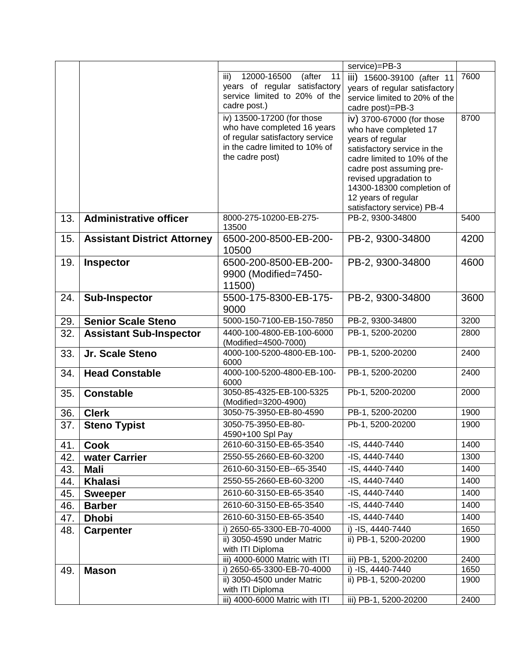|     |                                    |                                                                                                                                                   | service)=PB-3                                                                                                                                                                                                                                                                |      |
|-----|------------------------------------|---------------------------------------------------------------------------------------------------------------------------------------------------|------------------------------------------------------------------------------------------------------------------------------------------------------------------------------------------------------------------------------------------------------------------------------|------|
|     |                                    | 12000-16500<br>(after<br>11<br>iii)<br>years of regular satisfactory<br>service limited to 20% of the<br>cadre post.)                             | iii) 15600-39100 (after 11<br>years of regular satisfactory<br>service limited to 20% of the<br>cadre post)=PB-3                                                                                                                                                             | 7600 |
|     |                                    | iv) 13500-17200 (for those<br>who have completed 16 years<br>of regular satisfactory service<br>in the cadre limited to 10% of<br>the cadre post) | iv) 3700-67000 (for those<br>who have completed 17<br>years of regular<br>satisfactory service in the<br>cadre limited to 10% of the<br>cadre post assuming pre-<br>revised upgradation to<br>14300-18300 completion of<br>12 years of regular<br>satisfactory service) PB-4 | 8700 |
| 13. | <b>Administrative officer</b>      | 8000-275-10200-EB-275-<br>13500                                                                                                                   | PB-2, 9300-34800                                                                                                                                                                                                                                                             | 5400 |
| 15. | <b>Assistant District Attorney</b> | 6500-200-8500-EB-200-<br>10500                                                                                                                    | PB-2, 9300-34800                                                                                                                                                                                                                                                             | 4200 |
| 19. | <b>Inspector</b>                   | 6500-200-8500-EB-200-<br>9900 (Modified=7450-<br>11500)                                                                                           | PB-2, 9300-34800                                                                                                                                                                                                                                                             | 4600 |
| 24. | <b>Sub-Inspector</b>               | 5500-175-8300-EB-175-<br>9000                                                                                                                     | PB-2, 9300-34800                                                                                                                                                                                                                                                             | 3600 |
| 29. | <b>Senior Scale Steno</b>          | 5000-150-7100-EB-150-7850                                                                                                                         | PB-2, 9300-34800                                                                                                                                                                                                                                                             | 3200 |
| 32. | <b>Assistant Sub-Inspector</b>     | 4400-100-4800-EB-100-6000<br>(Modified=4500-7000)                                                                                                 | PB-1, 5200-20200                                                                                                                                                                                                                                                             | 2800 |
| 33. | Jr. Scale Steno                    | 4000-100-5200-4800-EB-100-<br>6000                                                                                                                | PB-1, 5200-20200                                                                                                                                                                                                                                                             | 2400 |
| 34. | <b>Head Constable</b>              | 4000-100-5200-4800-EB-100-<br>6000                                                                                                                | PB-1, 5200-20200                                                                                                                                                                                                                                                             | 2400 |
| 35. | <b>Constable</b>                   | 3050-85-4325-EB-100-5325<br>(Modified=3200-4900)                                                                                                  | Pb-1, 5200-20200                                                                                                                                                                                                                                                             | 2000 |
| 36. | <b>Clerk</b>                       | 3050-75-3950-EB-80-4590                                                                                                                           | PB-1, 5200-20200                                                                                                                                                                                                                                                             | 1900 |
| 37. | <b>Steno Typist</b>                | 3050-75-3950-EB-80-<br>4590+100 Spl Pay                                                                                                           | Pb-1, 5200-20200                                                                                                                                                                                                                                                             | 1900 |
| 41. | <b>Cook</b>                        | 2610-60-3150-EB-65-3540                                                                                                                           | -IS, 4440-7440                                                                                                                                                                                                                                                               | 1400 |
| 42. | water Carrier                      | 2550-55-2660-EB-60-3200                                                                                                                           | $-IS, 4440 - 7440$                                                                                                                                                                                                                                                           | 1300 |
| 43. | <b>Mali</b>                        | 2610-60-3150-EB--65-3540                                                                                                                          | -IS, 4440-7440                                                                                                                                                                                                                                                               | 1400 |
| 44. | <b>Khalasi</b>                     | 2550-55-2660-EB-60-3200                                                                                                                           | $-IS, 4440 - 7440$                                                                                                                                                                                                                                                           | 1400 |
| 45. | <b>Sweeper</b>                     | 2610-60-3150-EB-65-3540                                                                                                                           | -IS, 4440-7440                                                                                                                                                                                                                                                               | 1400 |
| 46. | <b>Barber</b>                      | 2610-60-3150-EB-65-3540                                                                                                                           | -IS, 4440-7440                                                                                                                                                                                                                                                               | 1400 |
| 47. | <b>Dhobi</b>                       | 2610-60-3150-EB-65-3540                                                                                                                           | -IS, 4440-7440                                                                                                                                                                                                                                                               | 1400 |
| 48. | <b>Carpenter</b>                   | i) 2650-65-3300-EB-70-4000                                                                                                                        | i) -IS, 4440-7440                                                                                                                                                                                                                                                            | 1650 |
|     |                                    | ii) 3050-4590 under Matric<br>with ITI Diploma                                                                                                    | ii) PB-1, 5200-20200                                                                                                                                                                                                                                                         | 1900 |
|     |                                    | iii) 4000-6000 Matric with ITI                                                                                                                    | iii) PB-1, 5200-20200                                                                                                                                                                                                                                                        | 2400 |
| 49. | <b>Mason</b>                       | i) 2650-65-3300-EB-70-4000                                                                                                                        | i) -IS, 4440-7440                                                                                                                                                                                                                                                            | 1650 |
|     |                                    | ii) 3050-4500 under Matric                                                                                                                        | ii) PB-1, 5200-20200                                                                                                                                                                                                                                                         | 1900 |
|     |                                    | with ITI Diploma<br>iii) 4000-6000 Matric with ITI                                                                                                | iii) PB-1, 5200-20200                                                                                                                                                                                                                                                        | 2400 |
|     |                                    |                                                                                                                                                   |                                                                                                                                                                                                                                                                              |      |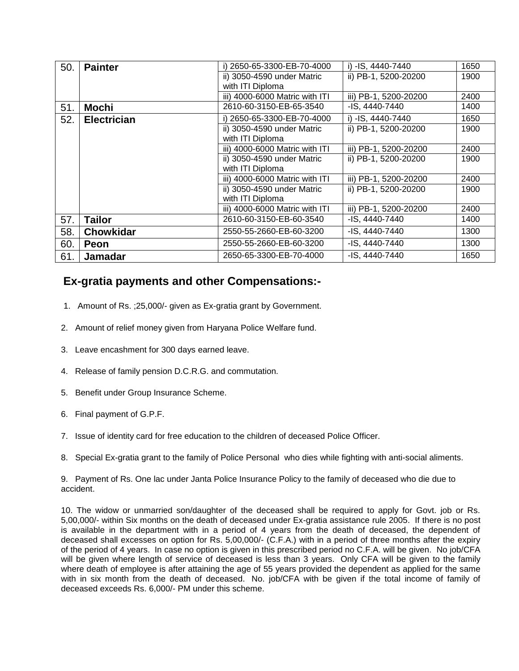| 50. | <b>Painter</b>     | i) 2650-65-3300-EB-70-4000     | i) -IS, 4440-7440     | 1650 |
|-----|--------------------|--------------------------------|-----------------------|------|
|     |                    | ii) 3050-4590 under Matric     | ii) PB-1, 5200-20200  | 1900 |
|     |                    | with ITI Diploma               |                       |      |
|     |                    | iii) 4000-6000 Matric with ITI | iii) PB-1, 5200-20200 | 2400 |
| 51. | <b>Mochi</b>       | 2610-60-3150-EB-65-3540        | -IS, 4440-7440        | 1400 |
| 52. | <b>Electrician</b> | 2650-65-3300-EB-70-4000        | i) -IS, 4440-7440     | 1650 |
|     |                    | ii) 3050-4590 under Matric     | ii) PB-1, 5200-20200  | 1900 |
|     |                    | with ITI Diploma               |                       |      |
|     |                    | iii) 4000-6000 Matric with ITI | iii) PB-1, 5200-20200 | 2400 |
|     |                    | ii) 3050-4590 under Matric     | ii) PB-1, 5200-20200  | 1900 |
|     |                    | with ITI Diploma               |                       |      |
|     |                    | iii) 4000-6000 Matric with ITI | iii) PB-1, 5200-20200 | 2400 |
|     |                    | ii) 3050-4590 under Matric     | ii) PB-1, 5200-20200  | 1900 |
|     |                    | with ITI Diploma               |                       |      |
|     |                    | iii) 4000-6000 Matric with ITI | iii) PB-1, 5200-20200 | 2400 |
| 57. | <b>Tailor</b>      | 2610-60-3150-EB-60-3540        | -IS, 4440-7440        | 1400 |
| 58. | <b>Chowkidar</b>   | 2550-55-2660-EB-60-3200        | -IS, 4440-7440        | 1300 |
| 60. | <b>Peon</b>        | 2550-55-2660-EB-60-3200        | -IS. 4440-7440        | 1300 |
| 61. | <b>Jamadar</b>     | 2650-65-3300-EB-70-4000        | -IS, 4440-7440        | 1650 |

### **Ex-gratia payments and other Compensations:-**

- 1. Amount of Rs. ;25,000/- given as Ex-gratia grant by Government.
- 2. Amount of relief money given from Haryana Police Welfare fund.
- 3. Leave encashment for 300 days earned leave.
- 4. Release of family pension D.C.R.G. and commutation.
- 5. Benefit under Group Insurance Scheme.
- 6. Final payment of G.P.F.
- 7. Issue of identity card for free education to the children of deceased Police Officer.
- 8. Special Ex-gratia grant to the family of Police Personal who dies while fighting with anti-social aliments.

9. Payment of Rs. One lac under Janta Police Insurance Policy to the family of deceased who die due to accident.

10. The widow or unmarried son/daughter of the deceased shall be required to apply for Govt. job or Rs. 5,00,000/- within Six months on the death of deceased under Ex-gratia assistance rule 2005. If there is no post is available in the department with in a period of 4 years from the death of deceased, the dependent of deceased shall excesses on option for Rs. 5,00,000/- (C.F.A.) with in a period of three months after the expiry of the period of 4 years. In case no option is given in this prescribed period no C.F.A. will be given. No job/CFA will be given where length of service of deceased is less than 3 years. Only CFA will be given to the family where death of employee is after attaining the age of 55 years provided the dependent as applied for the same with in six month from the death of deceased. No. job/CFA with be given if the total income of family of deceased exceeds Rs. 6,000/- PM under this scheme.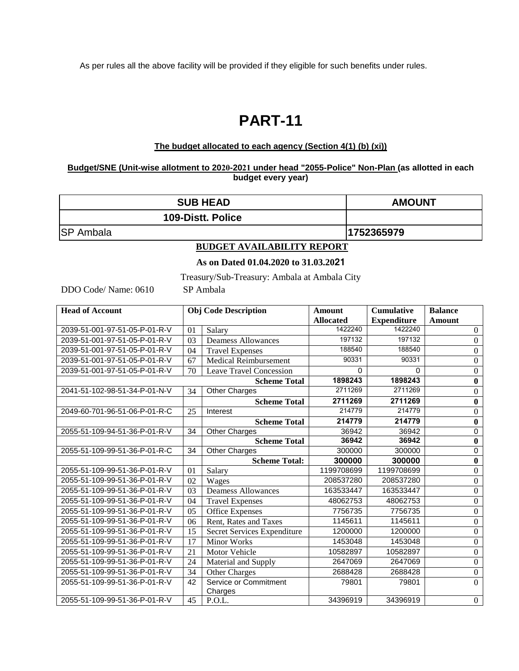As per rules all the above facility will be provided if they eligible for such benefits under rules.

# **PART-11**

#### **The budget allocated to each agency (Section 4(1) (b) (xi))**

#### **Budget/SNE (Unit-wise allotment to 2020-2021 under head "2055-Police" Non-Plan (as allotted in each budget every year)**

| <b>SUB HEAD</b>               |                                      | <b>AMOUNT</b>                                |                  |                    |                |          |  |  |
|-------------------------------|--------------------------------------|----------------------------------------------|------------------|--------------------|----------------|----------|--|--|
|                               |                                      | 109-Distt. Police                            |                  |                    |                |          |  |  |
| <b>SP</b> Ambala              |                                      | 1752365979                                   |                  |                    |                |          |  |  |
|                               |                                      | <b>BUDGET AVAILABILITY REPORT</b>            |                  |                    |                |          |  |  |
|                               | As on Dated 01.04.2020 to 31.03.2021 |                                              |                  |                    |                |          |  |  |
|                               |                                      | Treasury/Sub-Treasury: Ambala at Ambala City |                  |                    |                |          |  |  |
| DDO Code/ Name: 0610          |                                      | SP Ambala                                    |                  |                    |                |          |  |  |
| <b>Head of Account</b>        |                                      | <b>Obj Code Description</b>                  | <b>Amount</b>    | <b>Cumulative</b>  | <b>Balance</b> |          |  |  |
|                               |                                      |                                              | <b>Allocated</b> | <b>Expenditure</b> | Amount         |          |  |  |
| 2039-51-001-97-51-05-P-01-R-V | 01                                   | Salary                                       | 1422240          | 1422240            |                | $\Omega$ |  |  |
| 2039-51-001-97-51-05-P-01-R-V | 197132                               | 197132                                       |                  | $\theta$           |                |          |  |  |
| 2039-51-001-97-51-05-P-01-R-V | 188540                               | 188540                                       |                  | $\Omega$           |                |          |  |  |

|                               |    |                                  | <b>Allocated</b> | <b>Expenditure</b> | <b>Amount</b>    |
|-------------------------------|----|----------------------------------|------------------|--------------------|------------------|
| 2039-51-001-97-51-05-P-01-R-V | 01 | Salary                           | 1422240          | 1422240            | $\boldsymbol{0}$ |
| 2039-51-001-97-51-05-P-01-R-V | 03 | <b>Deamess Allowances</b>        | 197132           | 197132             | $\overline{0}$   |
| 2039-51-001-97-51-05-P-01-R-V | 04 | <b>Travel Expenses</b>           | 188540           | 188540             | $\boldsymbol{0}$ |
| 2039-51-001-97-51-05-P-01-R-V | 67 | <b>Medical Reimbursement</b>     | 90331            | 90331              | $\overline{0}$   |
| 2039-51-001-97-51-05-P-01-R-V | 70 | <b>Leave Travel Concession</b>   | $\Omega$         | 0                  | 0                |
|                               |    | <b>Scheme Total</b>              | 1898243          | 1898243            | $\bf{0}$         |
| 2041-51-102-98-51-34-P-01-N-V | 34 | Other Charges                    | 2711269          | 2711269            | $\boldsymbol{0}$ |
|                               |    | <b>Scheme Total</b>              | 2711269          | 2711269            | $\bf{0}$         |
| 2049-60-701-96-51-06-P-01-R-C | 25 | Interest                         | 214779           | 214779             | $\boldsymbol{0}$ |
|                               |    | <b>Scheme Total</b>              | 214779           | 214779             | $\bf{0}$         |
| 2055-51-109-94-51-36-P-01-R-V | 34 | <b>Other Charges</b>             | 36942            | 36942              | 0                |
|                               |    | <b>Scheme Total</b>              | 36942            | 36942              | $\bf{0}$         |
| 2055-51-109-99-51-36-P-01-R-C | 34 | <b>Other Charges</b>             | 300000           | 300000             | 0                |
|                               |    | <b>Scheme Total:</b>             | 300000           | 300000             | $\bf{0}$         |
| 2055-51-109-99-51-36-P-01-R-V | 01 | Salary                           | 1199708699       | 1199708699         | $\overline{0}$   |
| 2055-51-109-99-51-36-P-01-R-V | 02 | Wages                            | 208537280        | 208537280          | $\boldsymbol{0}$ |
| 2055-51-109-99-51-36-P-01-R-V | 03 | <b>Deamess Allowances</b>        | 163533447        | 163533447          | $\boldsymbol{0}$ |
| 2055-51-109-99-51-36-P-01-R-V | 04 | <b>Travel Expenses</b>           | 48062753         | 48062753           | $\boldsymbol{0}$ |
| 2055-51-109-99-51-36-P-01-R-V | 05 | <b>Office Expenses</b>           | 7756735          | 7756735            | $\overline{0}$   |
| 2055-51-109-99-51-36-P-01-R-V | 06 | Rent, Rates and Taxes            | 1145611          | 1145611            | $\boldsymbol{0}$ |
| 2055-51-109-99-51-36-P-01-R-V | 15 | Secret Services Expenditure      | 1200000          | 1200000            | $\boldsymbol{0}$ |
| 2055-51-109-99-51-36-P-01-R-V | 17 | <b>Minor Works</b>               | 1453048          | 1453048            | $\boldsymbol{0}$ |
| 2055-51-109-99-51-36-P-01-R-V | 21 | Motor Vehicle                    | 10582897         | 10582897           | $\boldsymbol{0}$ |
| 2055-51-109-99-51-36-P-01-R-V | 24 | Material and Supply              | 2647069          | 2647069            | $\boldsymbol{0}$ |
| 2055-51-109-99-51-36-P-01-R-V | 34 | Other Charges                    | 2688428          | 2688428            | $\overline{0}$   |
| 2055-51-109-99-51-36-P-01-R-V | 42 | Service or Commitment<br>Charges | 79801            | 79801              | $\mathbf{0}$     |
| 2055-51-109-99-51-36-P-01-R-V | 45 | P.O.L.                           | 34396919         | 34396919           | $\boldsymbol{0}$ |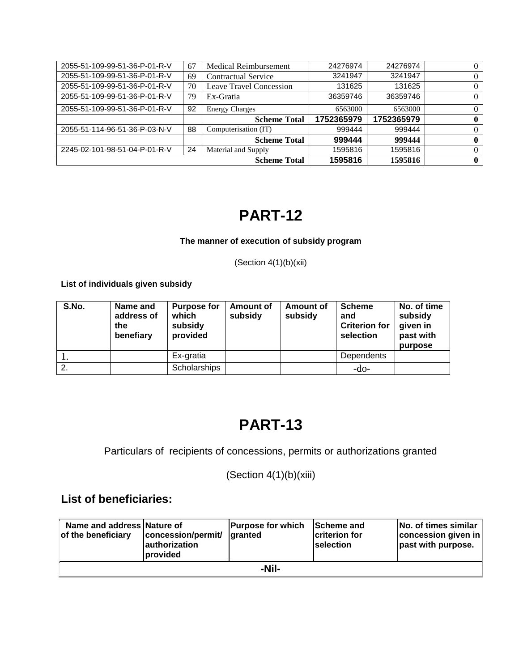| 2055-51-109-99-51-36-P-01-R-V | 67 | Medical Reimbursement      | 24276974   | 24276974   | $\theta$ |
|-------------------------------|----|----------------------------|------------|------------|----------|
| 2055-51-109-99-51-36-P-01-R-V | 69 | <b>Contractual Service</b> | 3241947    | 3241947    | $\theta$ |
| 2055-51-109-99-51-36-P-01-R-V | 70 | Leave Travel Concession    | 131625     | 131625     | $\theta$ |
| 2055-51-109-99-51-36-P-01-R-V | 79 | Ex-Gratia                  | 36359746   | 36359746   | $\Omega$ |
| 2055-51-109-99-51-36-P-01-R-V | 92 | <b>Energy Charges</b>      | 6563000    | 6563000    | $\Omega$ |
|                               |    | <b>Scheme Total</b>        | 1752365979 | 1752365979 | 0        |
| 2055-51-114-96-51-36-P-03-N-V | 88 | Computerisation (IT)       | 999444     | 999444     | $\Omega$ |
|                               |    | <b>Scheme Total</b>        | 999444     | 999444     | 0        |
| 2245-02-101-98-51-04-P-01-R-V | 24 | Material and Supply        | 1595816    | 1595816    | $\Omega$ |
|                               |    | <b>Scheme Total</b>        | 1595816    | 1595816    | 0        |

#### **The manner of execution of subsidy program**

(Section  $4(1)(b)(xii)$ 

**List of individuals given subsidy**

| S.No. | Name and<br>address of<br>the<br>benefiary | <b>Purpose for</b><br>which<br>subsidy<br>provided | Amount of<br>subsidy | Amount of<br>subsidy | <b>Scheme</b><br>and<br><b>Criterion for</b><br>selection | No. of time<br>subsidy<br>given in<br>past with<br>purpose |
|-------|--------------------------------------------|----------------------------------------------------|----------------------|----------------------|-----------------------------------------------------------|------------------------------------------------------------|
|       |                                            | Ex-gratia                                          |                      |                      | Dependents                                                |                                                            |
| 2.    |                                            | Scholarships                                       |                      |                      | -do-                                                      |                                                            |

# **PART-13**

Particulars of recipients of concessions, permits or authorizations granted

(Section 4(1)(b)(xiii)

### **List of beneficiaries:**

| Name and address Nature of<br>of the beneficiary | concession/permit/<br><b>lauthorization</b><br><b>Iprovided</b> | <b>Purpose for which</b><br>laranted | <b>Scheme and</b><br>criterion for<br><b>Iselection</b> | No. of times similar<br>concession given in<br>past with purpose. |  |  |  |
|--------------------------------------------------|-----------------------------------------------------------------|--------------------------------------|---------------------------------------------------------|-------------------------------------------------------------------|--|--|--|
| -Nil-                                            |                                                                 |                                      |                                                         |                                                                   |  |  |  |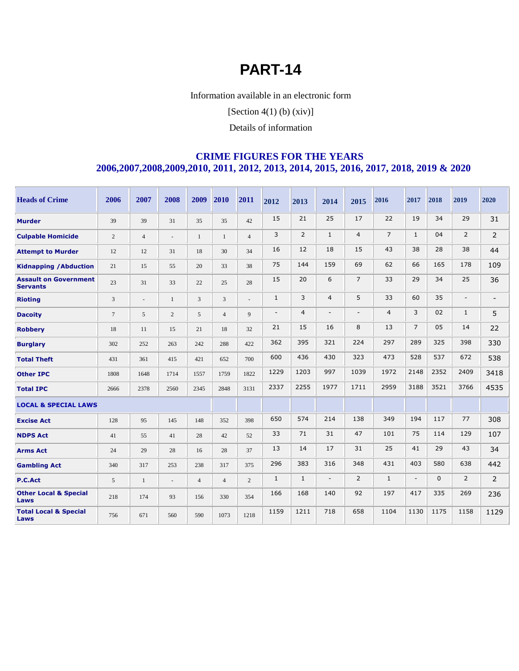Information available in an electronic form

[Section  $4(1)$  (b)  $(xiv)$ ]

Details of information

#### **CRIME FIGURES FOR THE YEARS 2006,2007,2008,2009,2010, 2011, 2012, 2013, 2014, 2015, 2016, 2017, 2018, 2019 & 2020**

| <b>Heads of Crime</b>                           | 2006           | 2007           | 2008                     | 2009           | 2010           | 2011           | 2012           | 2013           | 2014                     | 2015           | 2016           | 2017                     | 2018         | 2019                     | 2020                     |
|-------------------------------------------------|----------------|----------------|--------------------------|----------------|----------------|----------------|----------------|----------------|--------------------------|----------------|----------------|--------------------------|--------------|--------------------------|--------------------------|
| <b>Murder</b>                                   | 39             | 39             | 31                       | 35             | 35             | 42             | 15             | 21             | 25                       | 17             | 22             | 19                       | 34           | 29                       | 31                       |
| <b>Culpable Homicide</b>                        | $\overline{2}$ | $\overline{4}$ | $\overline{\phantom{a}}$ | $\mathbf{1}$   | $\mathbf{1}$   | $\overline{4}$ | 3              | 2              | $\mathbf{1}$             | $\overline{4}$ | $\overline{7}$ | $\mathbf{1}$             | 04           | $\overline{2}$           | $\overline{2}$           |
| <b>Attempt to Murder</b>                        | 12             | 12             | 31                       | 18             | 30             | 34             | 16             | 12             | 18                       | 15             | 43             | 38                       | 28           | 38                       | 44                       |
| <b>Kidnapping / Abduction</b>                   | 21             | 15             | 55                       | 20             | 33             | 38             | 75             | 144            | 159                      | 69             | 62             | 66                       | 165          | 178                      | 109                      |
| <b>Assault on Government</b><br><b>Servants</b> | 23             | 31             | 33                       | 22             | 25             | 28             | 15             | 20             | 6                        | $\overline{7}$ | 33             | 29                       | 34           | 25                       | 36                       |
| <b>Rioting</b>                                  | 3              | $\overline{a}$ | 1                        | 3              | 3              | $\overline{a}$ | $\mathbf{1}$   | 3              | $\overline{4}$           | 5              | 33             | 60                       | 35           | $\overline{\phantom{a}}$ | $\overline{\phantom{a}}$ |
| <b>Dacoity</b>                                  | $\overline{7}$ | 5              | 2                        | 5              | $\overline{4}$ | $\mathbf{Q}$   | $\overline{a}$ | $\overline{4}$ | $\blacksquare$           |                | $\overline{4}$ | 3                        | 02           | $\mathbf{1}$             | 5                        |
| <b>Robbery</b>                                  | 18             | 11             | 15                       | 21             | 18             | 32             | 21             | 15             | 16                       | 8              | 13             | $\overline{7}$           | 05           | 14                       | 22                       |
| <b>Burglary</b>                                 | 302            | 252            | 263                      | 242            | 288            | 422            | 362            | 395            | 321                      | 224            | 297            | 289                      | 325          | 398                      | 330                      |
| <b>Total Theft</b>                              | 431            | 361            | 415                      | 421            | 652            | 700            | 600            | 436            | 430                      | 323            | 473            | 528                      | 537          | 672                      | 538                      |
| <b>Other IPC</b>                                | 1808           | 1648           | 1714                     | 1557           | 1759           | 1822           | 1229           | 1203           | 997                      | 1039           | 1972           | 2148                     | 2352         | 2409                     | 3418                     |
| <b>Total IPC</b>                                | 2666           | 2378           | 2560                     | 2345           | 2848           | 3131           | 2337           | 2255           | 1977                     | 1711           | 2959           | 3188                     | 3521         | 3766                     | 4535                     |
| <b>LOCAL &amp; SPECIAL LAWS</b>                 |                |                |                          |                |                |                |                |                |                          |                |                |                          |              |                          |                          |
| <b>Excise Act</b>                               | 128            | 95             | 145                      | 148            | 352            | 398            | 650            | 574            | 214                      | 138            | 349            | 194                      | 117          | 77                       | 308                      |
| <b>NDPS Act</b>                                 | 41             | 55             | 41                       | 28             | 42             | 52             | 33             | 71             | 31                       | 47             | 101            | 75                       | 114          | 129                      | 107                      |
| <b>Arms Act</b>                                 | 24             | 29             | 28                       | 16             | 28             | 37             | 13             | 14             | 17                       | 31             | 25             | 41                       | 29           | 43                       | 34                       |
| <b>Gambling Act</b>                             | 340            | 317            | 253                      | 238            | 317            | 375            | 296            | 383            | 316                      | 348            | 431            | 403                      | 580          | 638                      | 442                      |
| P.C.Act                                         | 5              | $\mathbf{1}$   | $\overline{\phantom{a}}$ | $\overline{4}$ | $\overline{4}$ | $\overline{2}$ | $\mathbf{1}$   | $\mathbf{1}$   | $\overline{\phantom{a}}$ | $\overline{2}$ | $\mathbf{1}$   | $\overline{\phantom{a}}$ | $\mathbf{0}$ | $\overline{2}$           | $\overline{2}$           |
| <b>Other Local &amp; Special</b><br>Laws        | 218            | 174            | 93                       | 156            | 330            | 354            | 166            | 168            | 140                      | 92             | 197            | 417                      | 335          | 269                      | 236                      |
| <b>Total Local &amp; Special</b><br>Laws        | 756            | 671            | 560                      | 590            | 1073           | 1218           | 1159           | 1211           | 718                      | 658            | 1104           | 1130                     | 1175         | 1158                     | 1129                     |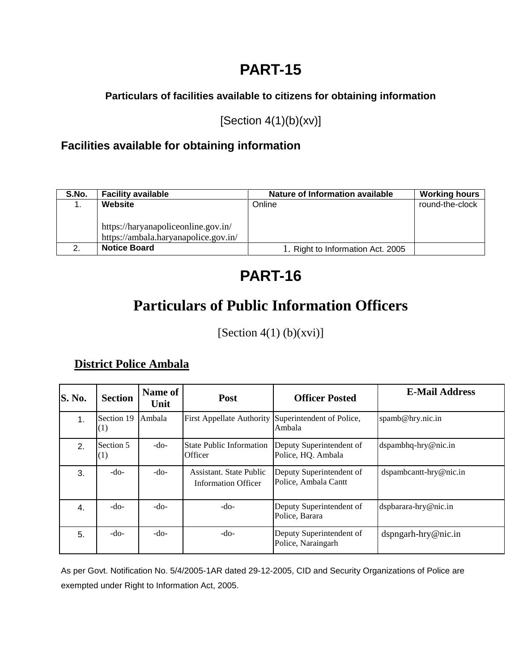### **Particulars of facilities available to citizens for obtaining information**

[Section 4(1)(b)(xv)]

### **Facilities available for obtaining information**

| S.No. | <b>Facility available</b>            | Nature of Information available   | <b>Working hours</b> |
|-------|--------------------------------------|-----------------------------------|----------------------|
|       | Website                              | Online                            | round-the-clock      |
|       |                                      |                                   |                      |
|       | https://haryanapoliceonline.gov.in/  |                                   |                      |
|       | https://ambala.haryanapolice.gov.in/ |                                   |                      |
|       | <b>Notice Board</b>                  | 1. Right to Information Act. 2005 |                      |

# **PART-16**

# **Particulars of Public Information Officers**

[Section  $4(1)$  (b)(xvi)]

### **District Police Ambala**

| <b>S. No.</b> | <b>Section</b>    | Name of<br>Unit | Post                                                         | <b>Officer Posted</b>                            | <b>E-Mail Address</b>  |
|---------------|-------------------|-----------------|--------------------------------------------------------------|--------------------------------------------------|------------------------|
| 1.            | Section 19<br>(1) | Ambala          | First Appellate Authority Superintendent of Police,          | Ambala                                           | spamb@hry.nic.in       |
| 2.            | Section 5<br>(1)  | $-do-$          | <b>State Public Information</b><br>Officer                   | Deputy Superintendent of<br>Police, HQ. Ambala   | dspambhq-hry@nic.in    |
| 3.            | $-do-$            | $-do-$          | <b>Assistant.</b> State Public<br><b>Information Officer</b> | Deputy Superintendent of<br>Police, Ambala Cantt | dspambcantt-hry@nic.in |
| 4.            | $-do-$            | $-do-$          | $-do-$                                                       | Deputy Superintendent of<br>Police, Barara       | dspbarara-hry@nic.in   |
| 5.            | $-do-$            | -do-            | $-do-$                                                       | Deputy Superintendent of<br>Police, Naraingarh   | dspngarh-hry@nic.in    |

As per Govt. Notification No. 5/4/2005-1AR dated 29-12-2005, CID and Security Organizations of Police are exempted under Right to Information Act, 2005.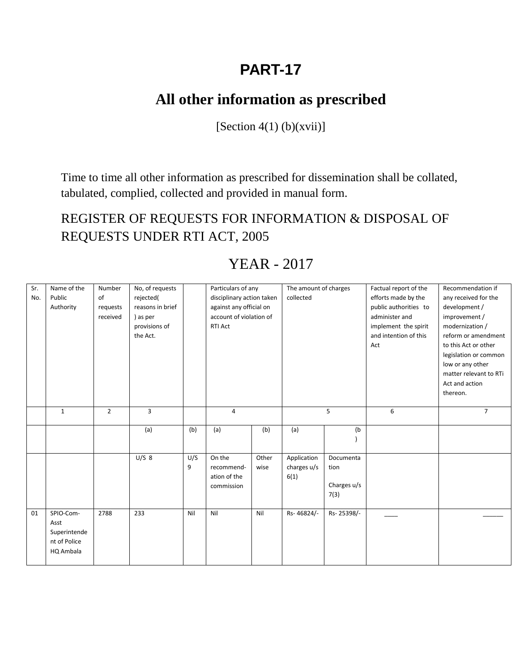# **All other information as prescribed**

 $[Section 4(1) (b)(xvii)]$ 

Time to time all other information as prescribed for dissemination shall be collated, tabulated, complied, collected and provided in manual form.

REGISTER OF REQUESTS FOR INFORMATION & DISPOSAL OF REQUESTS UNDER RTI ACT, 2005

| Sr. | Name of the  | Number         | No, of requests  |     | Particulars of any        |       | The amount of charges |             | Factual report of the | Recommendation if      |
|-----|--------------|----------------|------------------|-----|---------------------------|-------|-----------------------|-------------|-----------------------|------------------------|
| No. | Public       | of             | rejected(        |     | disciplinary action taken |       | collected             |             | efforts made by the   | any received for the   |
|     | Authority    | requests       | reasons in brief |     | against any official on   |       |                       |             | public authorities to | development /          |
|     |              | received       | ) as per         |     | account of violation of   |       |                       |             | administer and        | improvement /          |
|     |              |                | provisions of    |     | <b>RTI Act</b>            |       |                       |             | implement the spirit  | modernization /        |
|     |              |                | the Act.         |     |                           |       |                       |             | and intention of this | reform or amendment    |
|     |              |                |                  |     |                           |       |                       |             | Act                   | to this Act or other   |
|     |              |                |                  |     |                           |       |                       |             |                       | legislation or common  |
|     |              |                |                  |     |                           |       |                       |             |                       | low or any other       |
|     |              |                |                  |     |                           |       |                       |             |                       | matter relevant to RTi |
|     |              |                |                  |     |                           |       |                       |             |                       | Act and action         |
|     |              |                |                  |     |                           |       |                       |             |                       | thereon.               |
|     |              |                |                  |     |                           |       |                       |             |                       |                        |
|     | $\mathbf{1}$ | $\overline{2}$ | 3                |     | $\overline{4}$            |       | 5                     |             | 6                     | $\overline{7}$         |
|     |              |                |                  |     |                           |       |                       |             |                       |                        |
|     |              |                | (a)              | (b) | (a)                       | (b)   | (a)                   | (b)         |                       |                        |
|     |              |                |                  |     |                           |       |                       |             |                       |                        |
|     |              |                |                  |     |                           |       |                       |             |                       |                        |
|     |              |                | U/S 8            | U/S | On the                    | Other | Application           | Documenta   |                       |                        |
|     |              |                |                  | 9   | recommend-                | wise  | charges u/s           | tion        |                       |                        |
|     |              |                |                  |     | ation of the              |       | 6(1)                  |             |                       |                        |
|     |              |                |                  |     | commission                |       |                       | Charges u/s |                       |                        |
|     |              |                |                  |     |                           |       |                       | 7(3)        |                       |                        |
| 01  | SPIO-Com-    | 2788           | 233              | Nil | Nil                       | Nil   | Rs-46824/-            | Rs-25398/-  |                       |                        |
|     | Asst         |                |                  |     |                           |       |                       |             |                       |                        |
|     | Superintende |                |                  |     |                           |       |                       |             |                       |                        |
|     | nt of Police |                |                  |     |                           |       |                       |             |                       |                        |
|     |              |                |                  |     |                           |       |                       |             |                       |                        |
|     | HQ Ambala    |                |                  |     |                           |       |                       |             |                       |                        |
|     |              |                |                  |     |                           |       |                       |             |                       |                        |

## YEAR - 2017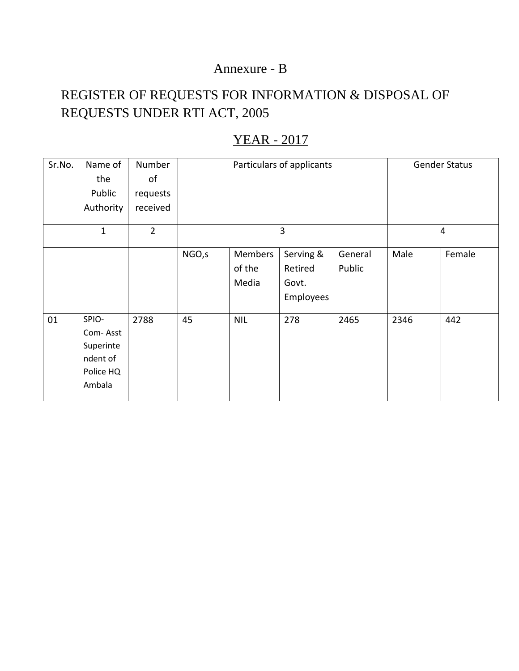### Annexure - B

## REGISTER OF REQUESTS FOR INFORMATION & DISPOSAL OF REQUESTS UNDER RTI ACT, 2005

| Sr.No. | Name of<br>the<br>Public<br>Authority                             | Number<br>of<br>requests<br>received |                                                                                                                | Particulars of applicants | <b>Gender Status</b>    |      |      |        |
|--------|-------------------------------------------------------------------|--------------------------------------|----------------------------------------------------------------------------------------------------------------|---------------------------|-------------------------|------|------|--------|
|        | $\mathbf{1}$                                                      | $\overline{2}$                       |                                                                                                                |                           | $\overline{\mathbf{4}}$ |      |      |        |
|        |                                                                   |                                      | Serving &<br>NGO, s<br><b>Members</b><br>General<br>Public<br>of the<br>Retired<br>Media<br>Govt.<br>Employees |                           |                         |      | Male | Female |
| 01     | SPIO-<br>Com-Asst<br>Superinte<br>ndent of<br>Police HQ<br>Ambala | 2788                                 | 45                                                                                                             | <b>NIL</b>                | 278                     | 2465 | 2346 | 442    |

### YEAR - 2017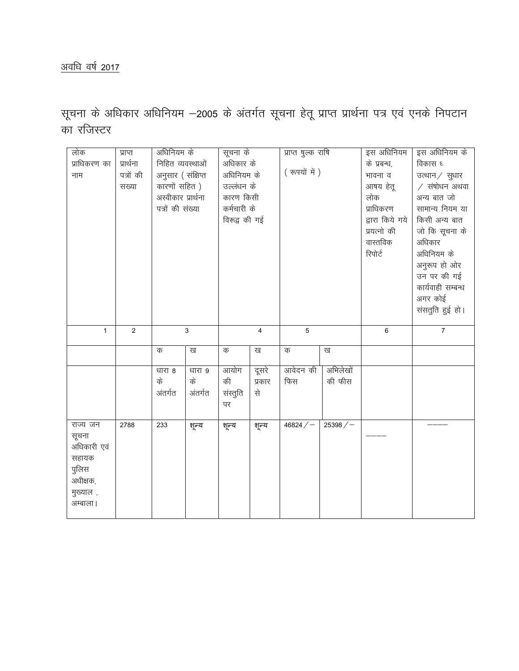### <u>अवधि वर्ष 2017</u>

सूचना के अधिकार अधिनियम –2005 के अंतर्गत सूचना हेतू प्राप्त प्रार्थना पत्र एवं एनके निपटान का रजिस्टर

| लोक<br>प्राधिकरण का<br>नाम                                                              | प्राप्त<br>प्रार्थना<br>पत्रों की<br>सख्या | अधिनियम के<br>निहित व्यवस्थाओं<br>अनुसार (संक्षिप्त<br>कारणों सहित)<br>अस्वीकार प्रार्थना<br>पत्रों की संख्या |                         | सूचना के<br>अधिकार के<br>अधिनियम के<br>उल्लंधन के<br>कारण किसी<br>कर्मचारी के<br>विरूद्व की गई |                       | प्राप्त षुल्क राषि<br>(रुपयों में) |                    | इस अधिनियम<br>के प्रबन्ध,<br>भावना व<br>आषय हेतू<br>लोक<br>प्राधिकरण<br>द्वारा किये गये<br>प्रयत्नो की<br>वास्तविक<br>रिपोर्ट | इस अधिनियम के<br>विकास ध<br>उत्थान / सुधार<br>$/$ संषोधन अथवा<br>अन्य बात जो<br>सामान्य नियम या<br>किसी अन्य बात<br>जो कि सूचना के<br>अधिकार<br>अधिनियम के<br>अनुरूप हो ओर<br>उन पर की गई<br>कार्यवाही सम्बन्ध<br>अगर कोई<br>संसतुति हुई हो। |
|-----------------------------------------------------------------------------------------|--------------------------------------------|---------------------------------------------------------------------------------------------------------------|-------------------------|------------------------------------------------------------------------------------------------|-----------------------|------------------------------------|--------------------|-------------------------------------------------------------------------------------------------------------------------------|----------------------------------------------------------------------------------------------------------------------------------------------------------------------------------------------------------------------------------------------|
| $\mathbf{1}$                                                                            | 2                                          |                                                                                                               | 3                       |                                                                                                | 4                     |                                    | 5                  |                                                                                                                               | $\overline{7}$                                                                                                                                                                                                                               |
|                                                                                         |                                            | क                                                                                                             | ख                       | क                                                                                              | ख                     | क                                  | ख                  |                                                                                                                               |                                                                                                                                                                                                                                              |
|                                                                                         |                                            | धारा 8<br>के<br>अंतर्गत                                                                                       | धारा 9<br>के<br>अंतर्गत | आयोग<br>की<br>संस्तुति<br>पर                                                                   | दूसरे<br>प्रकार<br>से | आवेदन की<br>फिस                    | अभिलेखों<br>की फीस |                                                                                                                               |                                                                                                                                                                                                                                              |
| राज्य जन<br>सूचना<br>अधिकारी एवं<br>सहायक<br>पुलिस<br>अधीक्षक,<br>मुख्याल,<br>अम्बाला । | 2788                                       | 233                                                                                                           | शून्य                   | शून्य                                                                                          | शून्य                 | $46824 / -$                        | 25398/             |                                                                                                                               |                                                                                                                                                                                                                                              |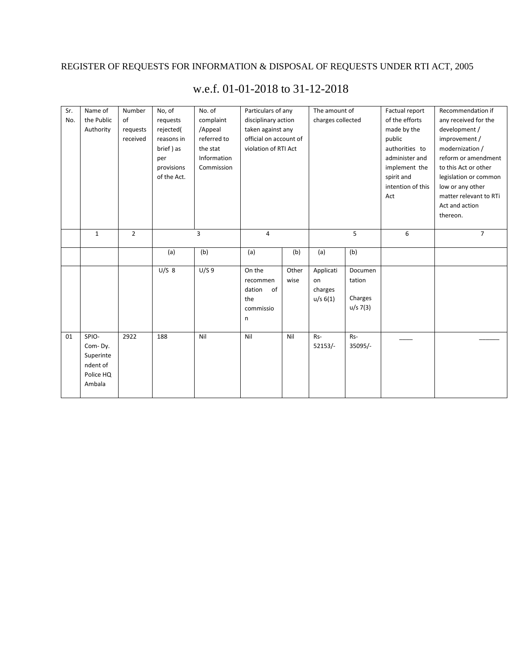### REGISTER OF REQUESTS FOR INFORMATION & DISPOSAL OF REQUESTS UNDER RTI ACT, 2005

| Sr.<br>No. | Name of<br>the Public<br>Authority<br>$\mathbf{1}$               | Number<br>of<br>requests<br>received<br>$\overline{2}$ | No, of<br>requests<br>rejected(<br>reasons in<br>brief) as<br>per<br>provisions<br>of the Act. | No. of<br>complaint<br>/Appeal<br>referred to<br>the stat<br>Information<br>Commission<br>3 | Particulars of any<br>disciplinary action<br>taken against any<br>official on account of<br>violation of RTI Act |                | The amount of<br>charges collected     | 5                                        | Factual report<br>of the efforts<br>made by the<br>public<br>authorities to<br>administer and<br>implement the<br>spirit and<br>intention of this<br>Act<br>6 | Recommendation if<br>any received for the<br>development /<br>improvement /<br>modernization /<br>reform or amendment<br>to this Act or other<br>legislation or common<br>low or any other<br>matter relevant to RTi<br>Act and action<br>thereon.<br>$\overline{7}$ |
|------------|------------------------------------------------------------------|--------------------------------------------------------|------------------------------------------------------------------------------------------------|---------------------------------------------------------------------------------------------|------------------------------------------------------------------------------------------------------------------|----------------|----------------------------------------|------------------------------------------|---------------------------------------------------------------------------------------------------------------------------------------------------------------|----------------------------------------------------------------------------------------------------------------------------------------------------------------------------------------------------------------------------------------------------------------------|
|            |                                                                  |                                                        |                                                                                                |                                                                                             |                                                                                                                  | $\overline{4}$ |                                        |                                          |                                                                                                                                                               |                                                                                                                                                                                                                                                                      |
|            |                                                                  |                                                        | (a)                                                                                            | (b)                                                                                         | (a)                                                                                                              | (b)            | (a)                                    | (b)                                      |                                                                                                                                                               |                                                                                                                                                                                                                                                                      |
|            |                                                                  |                                                        | $U/S$ 8                                                                                        | U/S9                                                                                        | On the<br>recommen<br>dation<br>0f<br>the<br>commissio<br>n                                                      | Other<br>wise  | Applicati<br>on<br>charges<br>u/s 6(1) | Documen<br>tation<br>Charges<br>u/s 7(3) |                                                                                                                                                               |                                                                                                                                                                                                                                                                      |
| 01         | SPIO-<br>Com-Dy.<br>Superinte<br>ndent of<br>Police HQ<br>Ambala | 2922                                                   | 188                                                                                            | Nil                                                                                         | Nil                                                                                                              | Nil            | Rs-<br>$52153/-$                       | Rs-<br>35095/-                           |                                                                                                                                                               |                                                                                                                                                                                                                                                                      |

### w.e.f. 01-01-2018 to 31-12-2018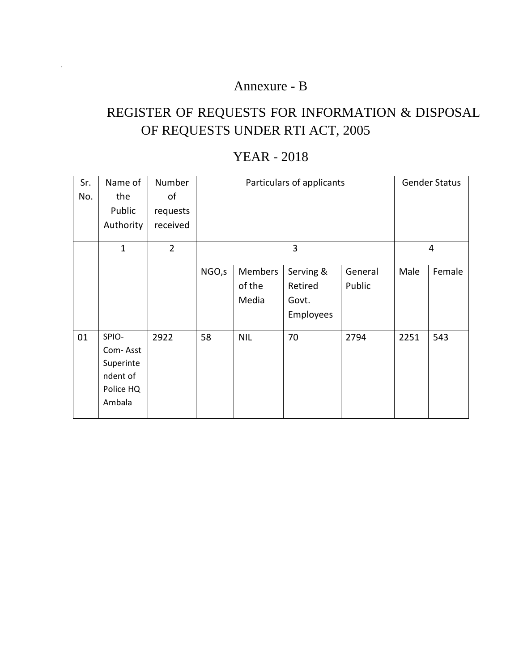### Annexure - B

.

# REGISTER OF REQUESTS FOR INFORMATION & DISPOSAL OF REQUESTS UNDER RTI ACT, 2005

### YEAR - 2018

| Sr. | Name of                                                           | Number         |                                                                                                                        | Particulars of applicants |                | <b>Gender Status</b> |      |        |
|-----|-------------------------------------------------------------------|----------------|------------------------------------------------------------------------------------------------------------------------|---------------------------|----------------|----------------------|------|--------|
| No. | the                                                               | of             |                                                                                                                        |                           |                |                      |      |        |
|     | Public                                                            | requests       |                                                                                                                        |                           |                |                      |      |        |
|     | Authority                                                         | received       |                                                                                                                        |                           |                |                      |      |        |
|     | $\mathbf{1}$                                                      | $\overline{2}$ |                                                                                                                        |                           | $\overline{4}$ |                      |      |        |
|     |                                                                   |                | NGO, s<br>Serving &<br><b>Members</b><br>General<br>Male<br>of the<br>Retired<br>Public<br>Media<br>Govt.<br>Employees |                           |                |                      |      | Female |
| 01  | SPIO-<br>Com-Asst<br>Superinte<br>ndent of<br>Police HQ<br>Ambala | 2922           | 58                                                                                                                     | <b>NIL</b>                | 70             | 2794                 | 2251 | 543    |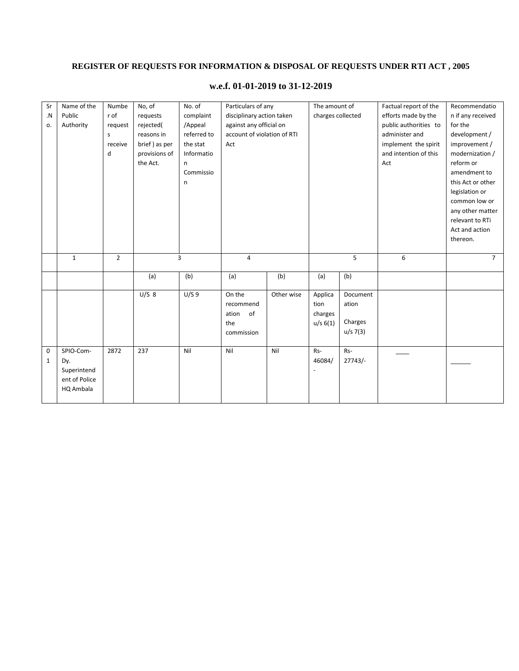### **REGISTER OF REQUESTS FOR INFORMATION & DISPOSAL OF REQUESTS UNDER RTI ACT , 2005**

| Sr          | Name of the   | Numbe          | No, of        | No. of      | Particulars of any          |            | The amount of     |                  | Factual report of the | Recommendatio     |
|-------------|---------------|----------------|---------------|-------------|-----------------------------|------------|-------------------|------------------|-----------------------|-------------------|
| $\cdot$ N   | Public        | r of           | requests      | complaint   | disciplinary action taken   |            | charges collected |                  | efforts made by the   | n if any received |
| 0.          | Authority     | request        | rejected(     | /Appeal     | against any official on     |            |                   |                  | public authorities to | for the           |
|             |               | s              | reasons in    | referred to | account of violation of RTI |            |                   |                  | administer and        | development /     |
|             |               | receive        | brief) as per | the stat    | Act                         |            |                   |                  | implement the spirit  | improvement /     |
|             |               | d              | provisions of | Informatio  |                             |            |                   |                  | and intention of this | modernization /   |
|             |               |                | the Act.      | n           |                             |            |                   |                  | Act                   | reform or         |
|             |               |                |               | Commissio   |                             |            |                   |                  |                       | amendment to      |
|             |               |                |               | n           |                             |            |                   |                  | this Act or other     |                   |
|             |               |                |               |             |                             |            |                   |                  | legislation or        |                   |
|             |               |                |               |             |                             |            |                   | common low or    |                       |                   |
|             |               |                |               |             |                             |            |                   | any other matter |                       |                   |
|             |               |                |               |             |                             |            |                   |                  |                       | relevant to RTi   |
|             |               |                |               |             |                             |            |                   |                  |                       | Act and action    |
|             |               |                |               |             |                             |            |                   |                  |                       | thereon.          |
|             |               |                |               |             |                             |            |                   |                  |                       |                   |
|             | $\mathbf{1}$  | $\overline{2}$ |               | 3           | $\overline{\mathbf{4}}$     |            | 5                 |                  | 6                     | $\overline{7}$    |
|             |               |                |               |             |                             |            |                   |                  |                       |                   |
|             |               |                | (a)           | (b)         | (a)                         | (b)        | (a)               | (b)              |                       |                   |
|             |               |                | U/S 8         | U/S9        | On the                      | Other wise | Applica           | Document         |                       |                   |
|             |               |                |               |             | recommend                   |            | tion              | ation            |                       |                   |
|             |               |                |               |             | - of<br>ation               |            | charges           |                  |                       |                   |
|             |               |                |               |             | the                         |            | u/s 6(1)          | Charges          |                       |                   |
|             |               |                |               |             | commission                  |            |                   | $u/s$ 7(3)       |                       |                   |
|             |               |                |               |             |                             |            |                   |                  |                       |                   |
| $\mathbf 0$ | SPIO-Com-     | 2872           | 237           | Nil         | Nil                         | Nil        | Rs-               | Rs-              |                       |                   |
| 1           | Dy.           |                |               |             |                             |            | 46084/            | 27743/           |                       |                   |
|             | Superintend   |                |               |             |                             |            |                   |                  |                       |                   |
|             | ent of Police |                |               |             |                             |            |                   |                  |                       |                   |
|             | HQ Ambala     |                |               |             |                             |            |                   |                  |                       |                   |

#### **w.e.f. 01-01-2019 to 31-12-2019**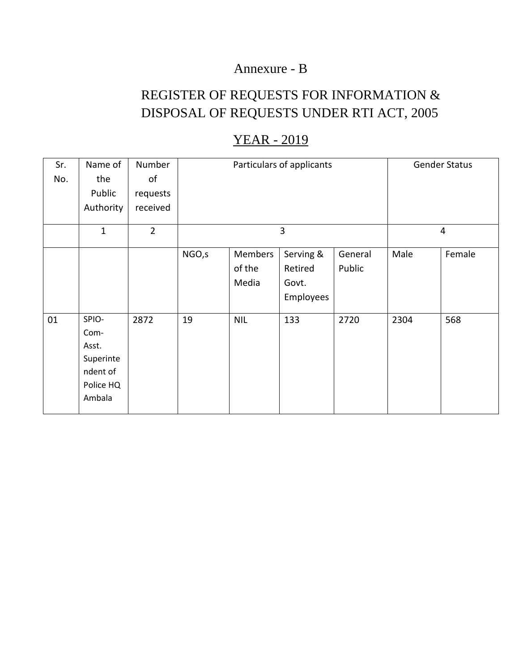### Annexure - B

## REGISTER OF REQUESTS FOR INFORMATION & DISPOSAL OF REQUESTS UNDER RTI ACT, 2005

| Sr.<br>No. | Name of<br>the<br>Public<br>Authority                                  | Number<br>of<br>requests<br>received |        | Particulars of applicants         | <b>Gender Status</b>                       |                   |      |        |
|------------|------------------------------------------------------------------------|--------------------------------------|--------|-----------------------------------|--------------------------------------------|-------------------|------|--------|
|            | $\mathbf{1}$                                                           | $\overline{2}$                       |        | 3                                 | $\overline{4}$                             |                   |      |        |
|            |                                                                        |                                      | NGO, s | <b>Members</b><br>of the<br>Media | Serving &<br>Retired<br>Govt.<br>Employees | General<br>Public | Male | Female |
| 01         | SPIO-<br>Com-<br>Asst.<br>Superinte<br>ndent of<br>Police HQ<br>Ambala | 2872                                 | 19     | <b>NIL</b>                        | 133                                        | 2720              | 2304 | 568    |

### YEAR - 2019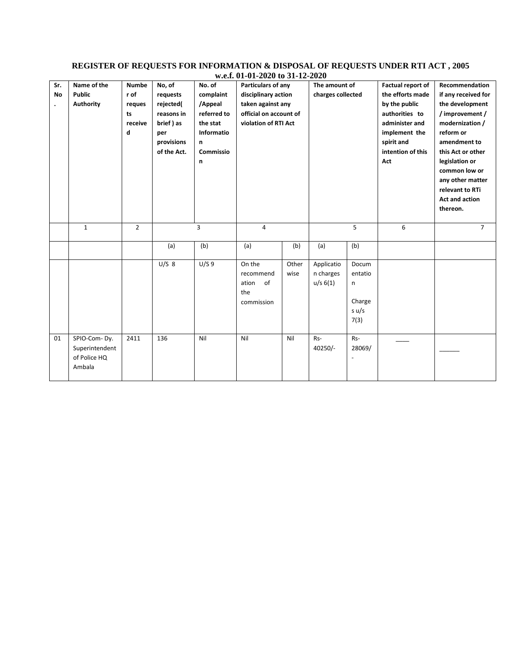#### **REGISTER OF REQUESTS FOR INFORMATION & DISPOSAL OF REQUESTS UNDER RTI ACT , 2005 w.e.f. 01-01-2020 to 31-12-2020**

| Sr.<br><b>No</b> | Name of the<br><b>Public</b><br><b>Authority</b>         | <b>Numbe</b><br>r of<br>reques<br>ts<br>receive<br>d | No, of<br>requests<br>rejected(<br>reasons in<br>brief) as<br>per<br>provisions<br>of the Act. | No. of<br>complaint<br>/Appeal<br>referred to<br>the stat<br>Informatio<br>n<br>Commissio<br>n | Particulars of any<br>disciplinary action<br>taken against any<br>official on account of<br>violation of RTI Act |               | The amount of<br>charges collected  |                                                  | Factual report of<br>the efforts made<br>by the public<br>authorities to<br>administer and<br>implement the<br>spirit and<br>intention of this<br>Act | Recommendation<br>if any received for<br>the development<br>/ improvement /<br>modernization /<br>reform or<br>amendment to<br>this Act or other<br>legislation or<br>common low or<br>any other matter<br>relevant to RTi<br>Act and action<br>thereon. |
|------------------|----------------------------------------------------------|------------------------------------------------------|------------------------------------------------------------------------------------------------|------------------------------------------------------------------------------------------------|------------------------------------------------------------------------------------------------------------------|---------------|-------------------------------------|--------------------------------------------------|-------------------------------------------------------------------------------------------------------------------------------------------------------|----------------------------------------------------------------------------------------------------------------------------------------------------------------------------------------------------------------------------------------------------------|
|                  | $\mathbf{1}$                                             | $\overline{2}$                                       |                                                                                                | 3                                                                                              | 4                                                                                                                |               | 5                                   |                                                  | 6                                                                                                                                                     | $\overline{7}$                                                                                                                                                                                                                                           |
|                  |                                                          |                                                      | (a)                                                                                            | (b)                                                                                            | (a)                                                                                                              | (b)           | (a)                                 | (b)                                              |                                                                                                                                                       |                                                                                                                                                                                                                                                          |
|                  |                                                          |                                                      | $U/S$ 8                                                                                        | U/S9                                                                                           | On the<br>recommend<br>of<br>ation<br>the<br>commission                                                          | Other<br>wise | Applicatio<br>n charges<br>u/s 6(1) | Docum<br>entatio<br>n<br>Charge<br>s u/s<br>7(3) |                                                                                                                                                       |                                                                                                                                                                                                                                                          |
| 01               | SPIO-Com-Dy.<br>Superintendent<br>of Police HQ<br>Ambala | 2411                                                 | 136                                                                                            | Nil                                                                                            | Nil                                                                                                              | Nil           | Rs-<br>$40250/-$                    | Rs-<br>28069/                                    |                                                                                                                                                       |                                                                                                                                                                                                                                                          |